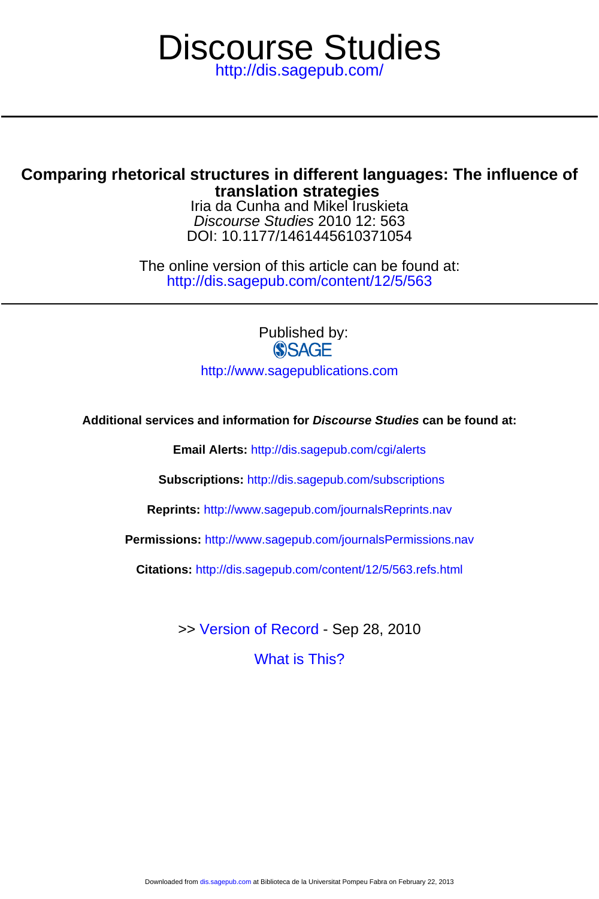# <http://dis.sagepub.com/> Discourse Studies

# **translation strategies Comparing rhetorical structures in different languages: The influence of**

DOI: 10.1177/1461445610371054 Discourse Studies 2010 12: 563 Iria da Cunha and Mikel Iruskieta

<http://dis.sagepub.com/content/12/5/563> The online version of this article can be found at:

Published by:<br>
SAGE

<http://www.sagepublications.com>

**Additional services and information for Discourse Studies can be found at:**

**Email Alerts:** <http://dis.sagepub.com/cgi/alerts>

**Subscriptions:** <http://dis.sagepub.com/subscriptions>

**Reprints:** <http://www.sagepub.com/journalsReprints.nav>

**Permissions:** <http://www.sagepub.com/journalsPermissions.nav>

**Citations:** <http://dis.sagepub.com/content/12/5/563.refs.html>

>> [Version of Record -](http://dis.sagepub.com/content/12/5/563.full.pdf) Sep 28, 2010

[What is This?](http://online.sagepub.com/site/sphelp/vorhelp.xhtml)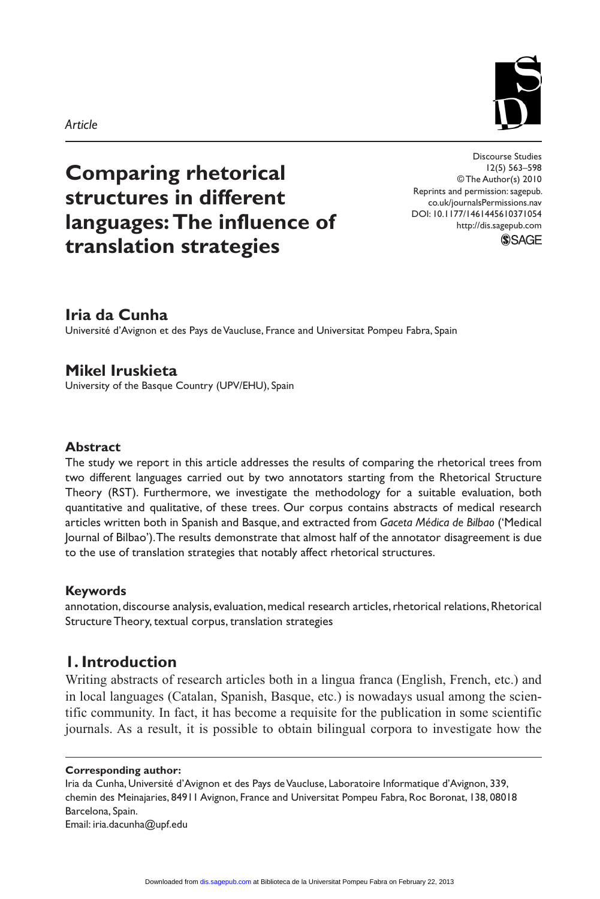#### *Article*



# **Comparing rhetorical structures in different languages: The influence of translation strategies**

Discourse Studies 12(5) 563–598 © The Author(s) 2010 Reprints and permission: sagepub. co.uk/journalsPermissions.nav DOI: 10.1177/1461445610371054 http://dis.sagepub.com **SSAGE** 

## **Iria da Cunha**

Université d'Avignon et des Pays de Vaucluse, France and Universitat Pompeu Fabra, Spain

### **Mikel Iruskieta**

University of the Basque Country (UPV/EHU), Spain

#### **Abstract**

The study we report in this article addresses the results of comparing the rhetorical trees from two different languages carried out by two annotators starting from the Rhetorical Structure Theory (RST). Furthermore, we investigate the methodology for a suitable evaluation, both quantitative and qualitative, of these trees. Our corpus contains abstracts of medical research articles written both in Spanish and Basque, and extracted from *Gaceta Médica de Bilbao* ('Medical Journal of Bilbao'). The results demonstrate that almost half of the annotator disagreement is due to the use of translation strategies that notably affect rhetorical structures.

#### **Keywords**

annotation, discourse analysis, evaluation, medical research articles, rhetorical relations, Rhetorical Structure Theory, textual corpus, translation strategies

### **1. Introduction**

Writing abstracts of research articles both in a lingua franca (English, French, etc.) and in local languages (Catalan, Spanish, Basque, etc.) is nowadays usual among the scientific community. In fact, it has become a requisite for the publication in some scientific journals. As a result, it is possible to obtain bilingual corpora to investigate how the

#### **Corresponding author:**

Iria da Cunha, Université d'Avignon et des Pays de Vaucluse, Laboratoire Informatique d'Avignon, 339, chemin des Meinajaries, 84911 Avignon, France and Universitat Pompeu Fabra, Roc Boronat, 138, 08018 Barcelona, Spain.

Email: iria.dacunha@upf.edu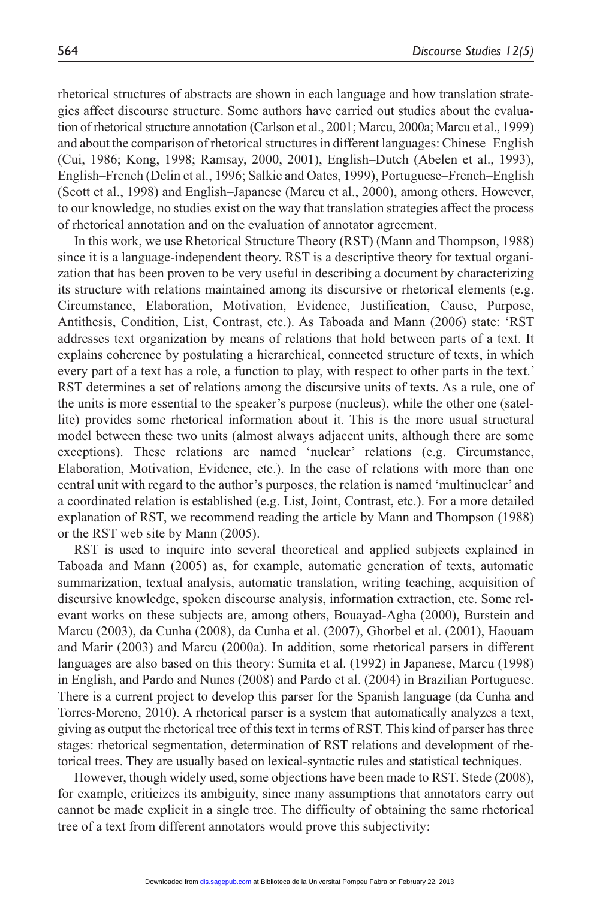rhetorical structures of abstracts are shown in each language and how translation strategies affect discourse structure. Some authors have carried out studies about the evaluation of rhetorical structure annotation (Carlson et al., 2001; Marcu, 2000a; Marcu et al., 1999) and about the comparison of rhetorical structures in different languages: Chinese–English (Cui, 1986; Kong, 1998; Ramsay, 2000, 2001), English–Dutch (Abelen et al., 1993), English–French (Delin et al., 1996; Salkie and Oates, 1999), Portuguese–French–English (Scott et al., 1998) and English–Japanese (Marcu et al., 2000), among others. However, to our knowledge, no studies exist on the way that translation strategies affect the process of rhetorical annotation and on the evaluation of annotator agreement.

In this work, we use Rhetorical Structure Theory (RST) (Mann and Thompson, 1988) since it is a language-independent theory. RST is a descriptive theory for textual organization that has been proven to be very useful in describing a document by characterizing its structure with relations maintained among its discursive or rhetorical elements (e.g. Circumstance, Elaboration, Motivation, Evidence, Justification, Cause, Purpose, Antithesis, Condition, List, Contrast, etc.). As Taboada and Mann (2006) state: 'RST addresses text organization by means of relations that hold between parts of a text. It explains coherence by postulating a hierarchical, connected structure of texts, in which every part of a text has a role, a function to play, with respect to other parts in the text.' RST determines a set of relations among the discursive units of texts. As a rule, one of the units is more essential to the speaker's purpose (nucleus), while the other one (satellite) provides some rhetorical information about it. This is the more usual structural model between these two units (almost always adjacent units, although there are some exceptions). These relations are named 'nuclear' relations (e.g. Circumstance, Elaboration, Motivation, Evidence, etc.). In the case of relations with more than one central unit with regard to the author's purposes, the relation is named 'multinuclear' and a coordinated relation is established (e.g. List, Joint, Contrast, etc.). For a more detailed explanation of RST, we recommend reading the article by Mann and Thompson (1988) or the RST web site by Mann (2005).

RST is used to inquire into several theoretical and applied subjects explained in Taboada and Mann (2005) as, for example, automatic generation of texts, automatic summarization, textual analysis, automatic translation, writing teaching, acquisition of discursive knowledge, spoken discourse analysis, information extraction, etc. Some relevant works on these subjects are, among others, Bouayad-Agha (2000), Burstein and Marcu (2003), da Cunha (2008), da Cunha et al. (2007), Ghorbel et al. (2001), Haouam and Marir (2003) and Marcu (2000a). In addition, some rhetorical parsers in different languages are also based on this theory: Sumita et al. (1992) in Japanese, Marcu (1998) in English, and Pardo and Nunes (2008) and Pardo et al. (2004) in Brazilian Portuguese. There is a current project to develop this parser for the Spanish language (da Cunha and Torres-Moreno, 2010). A rhetorical parser is a system that automatically analyzes a text, giving as output the rhetorical tree of this text in terms of RST. This kind of parser has three stages: rhetorical segmentation, determination of RST relations and development of rhetorical trees. They are usually based on lexical-syntactic rules and statistical techniques.

However, though widely used, some objections have been made to RST. Stede (2008), for example, criticizes its ambiguity, since many assumptions that annotators carry out cannot be made explicit in a single tree. The difficulty of obtaining the same rhetorical tree of a text from different annotators would prove this subjectivity: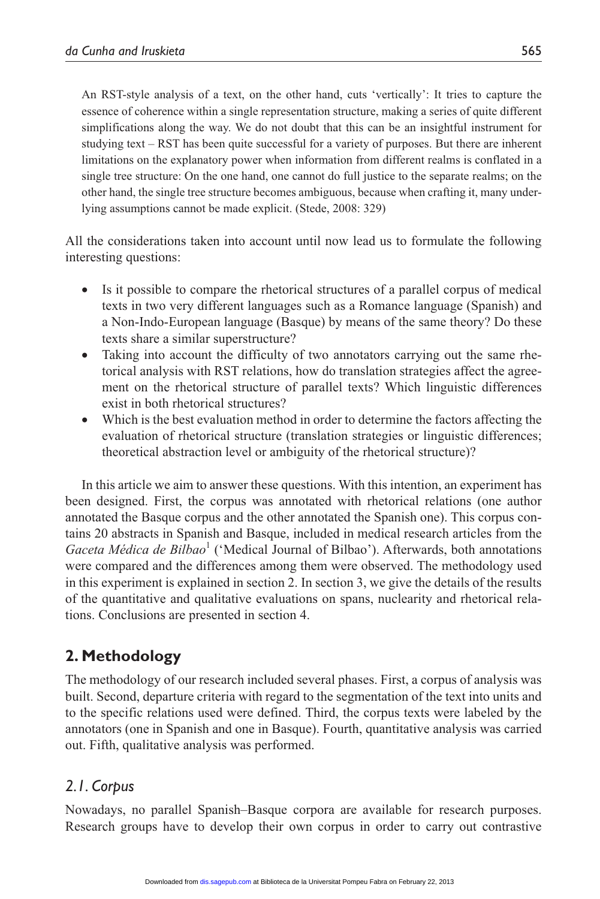An RST-style analysis of a text, on the other hand, cuts 'vertically': It tries to capture the essence of coherence within a single representation structure, making a series of quite different simplifications along the way. We do not doubt that this can be an insightful instrument for studying text – RST has been quite successful for a variety of purposes. But there are inherent limitations on the explanatory power when information from different realms is conflated in a single tree structure: On the one hand, one cannot do full justice to the separate realms; on the other hand, the single tree structure becomes ambiguous, because when crafting it, many underlying assumptions cannot be made explicit. (Stede, 2008: 329)

All the considerations taken into account until now lead us to formulate the following interesting questions:

- Is it possible to compare the rhetorical structures of a parallel corpus of medical texts in two very different languages such as a Romance language (Spanish) and a Non-Indo-European language (Basque) by means of the same theory? Do these texts share a similar superstructure?
- Taking into account the difficulty of two annotators carrying out the same rhetorical analysis with RST relations, how do translation strategies affect the agreement on the rhetorical structure of parallel texts? Which linguistic differences exist in both rhetorical structures?
- Which is the best evaluation method in order to determine the factors affecting the evaluation of rhetorical structure (translation strategies or linguistic differences; theoretical abstraction level or ambiguity of the rhetorical structure)?

In this article we aim to answer these questions. With this intention, an experiment has been designed. First, the corpus was annotated with rhetorical relations (one author annotated the Basque corpus and the other annotated the Spanish one). This corpus contains 20 abstracts in Spanish and Basque, included in medical research articles from the Gaceta Médica de Bilbao<sup>1</sup> ('Medical Journal of Bilbao'). Afterwards, both annotations were compared and the differences among them were observed. The methodology used in this experiment is explained in section 2. In section 3, we give the details of the results of the quantitative and qualitative evaluations on spans, nuclearity and rhetorical relations. Conclusions are presented in section 4.

# **2. Methodology**

The methodology of our research included several phases. First, a corpus of analysis was built. Second, departure criteria with regard to the segmentation of the text into units and to the specific relations used were defined. Third, the corpus texts were labeled by the annotators (one in Spanish and one in Basque). Fourth, quantitative analysis was carried out. Fifth, qualitative analysis was performed.

# *2.1. Corpus*

Nowadays, no parallel Spanish–Basque corpora are available for research purposes. Research groups have to develop their own corpus in order to carry out contrastive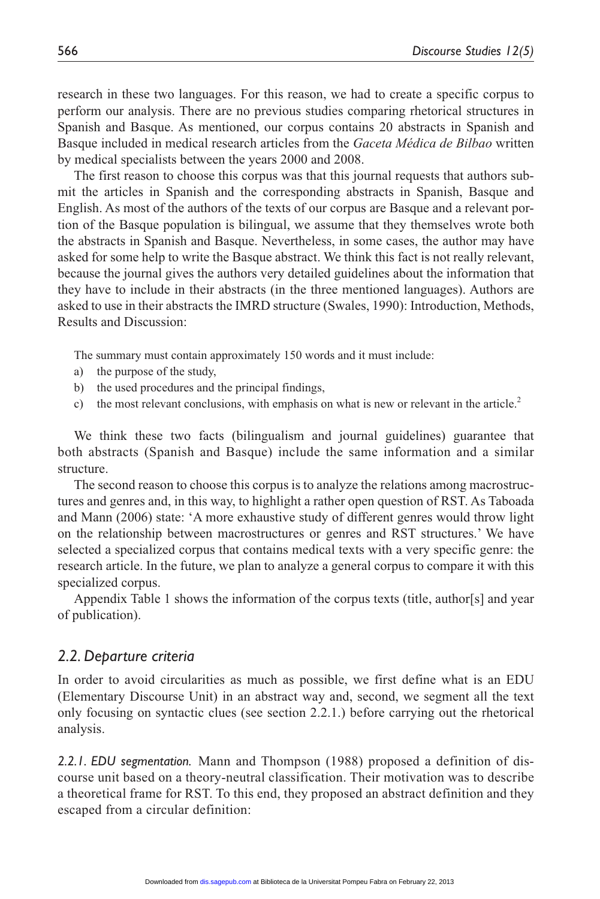research in these two languages. For this reason, we had to create a specific corpus to perform our analysis. There are no previous studies comparing rhetorical structures in Spanish and Basque. As mentioned, our corpus contains 20 abstracts in Spanish and Basque included in medical research articles from the *Gaceta Médica de Bilbao* written by medical specialists between the years 2000 and 2008.

The first reason to choose this corpus was that this journal requests that authors submit the articles in Spanish and the corresponding abstracts in Spanish, Basque and English. As most of the authors of the texts of our corpus are Basque and a relevant portion of the Basque population is bilingual, we assume that they themselves wrote both the abstracts in Spanish and Basque. Nevertheless, in some cases, the author may have asked for some help to write the Basque abstract. We think this fact is not really relevant, because the journal gives the authors very detailed guidelines about the information that they have to include in their abstracts (in the three mentioned languages). Authors are asked to use in their abstracts the IMRD structure (Swales, 1990): Introduction, Methods, Results and Discussion:

The summary must contain approximately 150 words and it must include:

- a) the purpose of the study,
- b) the used procedures and the principal findings,
- c) the most relevant conclusions, with emphasis on what is new or relevant in the article.<sup>2</sup>

We think these two facts (bilingualism and journal guidelines) guarantee that both abstracts (Spanish and Basque) include the same information and a similar structure.

The second reason to choose this corpus is to analyze the relations among macrostructures and genres and, in this way, to highlight a rather open question of RST. As Taboada and Mann (2006) state: 'A more exhaustive study of different genres would throw light on the relationship between macrostructures or genres and RST structures.' We have selected a specialized corpus that contains medical texts with a very specific genre: the research article. In the future, we plan to analyze a general corpus to compare it with this specialized corpus.

Appendix Table 1 shows the information of the corpus texts (title, author[s] and year of publication).

### *2.2. Departure criteria*

In order to avoid circularities as much as possible, we first define what is an EDU (Elementary Discourse Unit) in an abstract way and, second, we segment all the text only focusing on syntactic clues (see section 2.2.1.) before carrying out the rhetorical analysis.

*2.2.1. EDU segmentation.* Mann and Thompson (1988) proposed a definition of discourse unit based on a theory-neutral classification. Their motivation was to describe a theoretical frame for RST. To this end, they proposed an abstract definition and they escaped from a circular definition: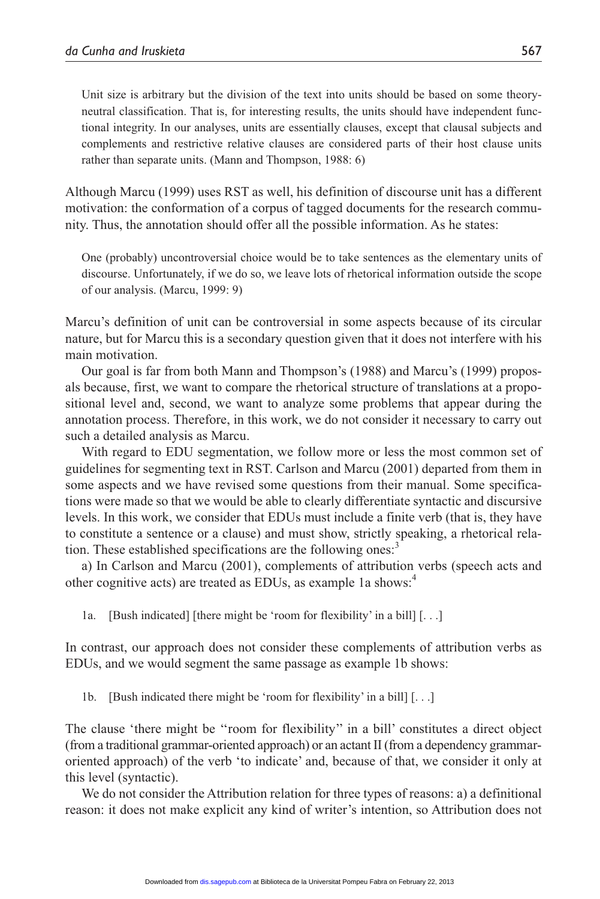Unit size is arbitrary but the division of the text into units should be based on some theoryneutral classification. That is, for interesting results, the units should have independent functional integrity. In our analyses, units are essentially clauses, except that clausal subjects and complements and restrictive relative clauses are considered parts of their host clause units rather than separate units. (Mann and Thompson, 1988: 6)

Although Marcu (1999) uses RST as well, his definition of discourse unit has a different motivation: the conformation of a corpus of tagged documents for the research community. Thus, the annotation should offer all the possible information. As he states:

One (probably) uncontroversial choice would be to take sentences as the elementary units of discourse. Unfortunately, if we do so, we leave lots of rhetorical information outside the scope of our analysis. (Marcu, 1999: 9)

Marcu's definition of unit can be controversial in some aspects because of its circular nature, but for Marcu this is a secondary question given that it does not interfere with his main motivation.

Our goal is far from both Mann and Thompson's (1988) and Marcu's (1999) proposals because, first, we want to compare the rhetorical structure of translations at a propositional level and, second, we want to analyze some problems that appear during the annotation process. Therefore, in this work, we do not consider it necessary to carry out such a detailed analysis as Marcu.

With regard to EDU segmentation, we follow more or less the most common set of guidelines for segmenting text in RST. Carlson and Marcu (2001) departed from them in some aspects and we have revised some questions from their manual. Some specifications were made so that we would be able to clearly differentiate syntactic and discursive levels. In this work, we consider that EDUs must include a finite verb (that is, they have to constitute a sentence or a clause) and must show, strictly speaking, a rhetorical relation. These established specifications are the following ones: $3$ 

a) In Carlson and Marcu (2001), complements of attribution verbs (speech acts and other cognitive acts) are treated as EDUs, as example 1a shows:<sup>4</sup>

1a. [Bush indicated] [there might be 'room for flexibility' in a bill] [. . .]

In contrast, our approach does not consider these complements of attribution verbs as EDUs, and we would segment the same passage as example 1b shows:

1b. [Bush indicated there might be 'room for flexibility' in a bill] [. . .]

The clause 'there might be ''room for flexibility'' in a bill' constitutes a direct object (from a traditional grammar-oriented approach) or an actant II (from a dependency grammaroriented approach) of the verb 'to indicate' and, because of that, we consider it only at this level (syntactic).

We do not consider the Attribution relation for three types of reasons: a) a definitional reason: it does not make explicit any kind of writer's intention, so Attribution does not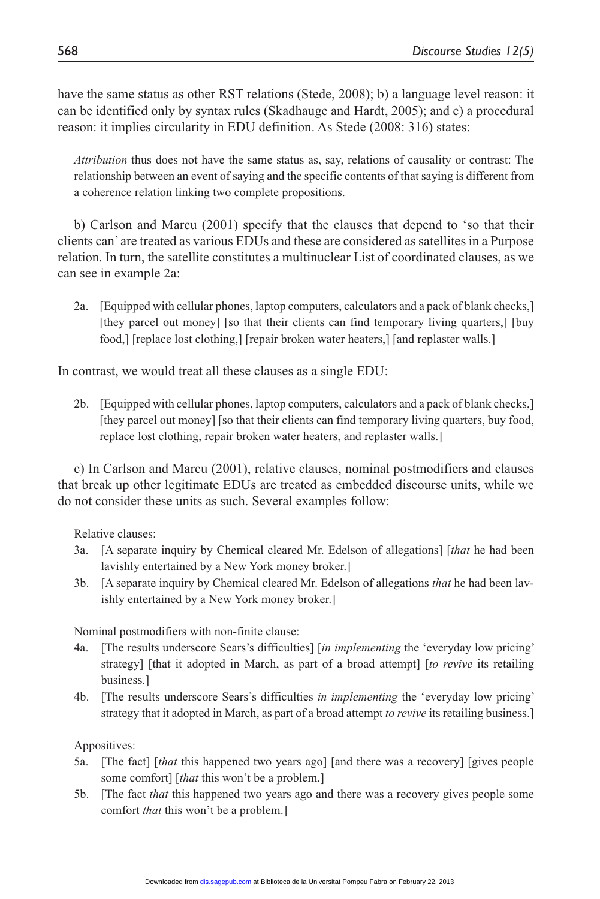have the same status as other RST relations (Stede, 2008); b) a language level reason: it can be identified only by syntax rules (Skadhauge and Hardt, 2005); and c) a procedural reason: it implies circularity in EDU definition. As Stede (2008: 316) states:

*Attribution* thus does not have the same status as, say, relations of causality or contrast: The relationship between an event of saying and the specific contents of that saying is different from a coherence relation linking two complete propositions.

b) Carlson and Marcu (2001) specify that the clauses that depend to 'so that their clients can' are treated as various EDUs and these are considered as satellites in a Purpose relation. In turn, the satellite constitutes a multinuclear List of coordinated clauses, as we can see in example 2a:

2a. [Equipped with cellular phones, laptop computers, calculators and a pack of blank checks,] [they parcel out money] [so that their clients can find temporary living quarters,] [buy food,] [replace lost clothing,] [repair broken water heaters,] [and replaster walls.]

In contrast, we would treat all these clauses as a single EDU:

2b. [Equipped with cellular phones, laptop computers, calculators and a pack of blank checks,] [they parcel out money] [so that their clients can find temporary living quarters, buy food, replace lost clothing, repair broken water heaters, and replaster walls.]

c) In Carlson and Marcu (2001), relative clauses, nominal postmodifiers and clauses that break up other legitimate EDUs are treated as embedded discourse units, while we do not consider these units as such. Several examples follow:

Relative clauses:

- 3a. [A separate inquiry by Chemical cleared Mr. Edelson of allegations] [*that* he had been lavishly entertained by a New York money broker.]
- 3b. [A separate inquiry by Chemical cleared Mr. Edelson of allegations *that* he had been lavishly entertained by a New York money broker.]

Nominal postmodifiers with non-finite clause:

- 4a. [The results underscore Sears's difficulties] [*in implementing* the 'everyday low pricing' strategy] [that it adopted in March, as part of a broad attempt] [*to revive* its retailing business.]
- 4b. [The results underscore Sears's difficulties *in implementing* the 'everyday low pricing' strategy that it adopted in March, as part of a broad attempt *to revive* its retailing business.]

Appositives:

- 5a. [The fact] [*that* this happened two years ago] [and there was a recovery] [gives people some comfort] [*that* this won't be a problem.]
- 5b. [The fact *that* this happened two years ago and there was a recovery gives people some comfort *that* this won't be a problem.]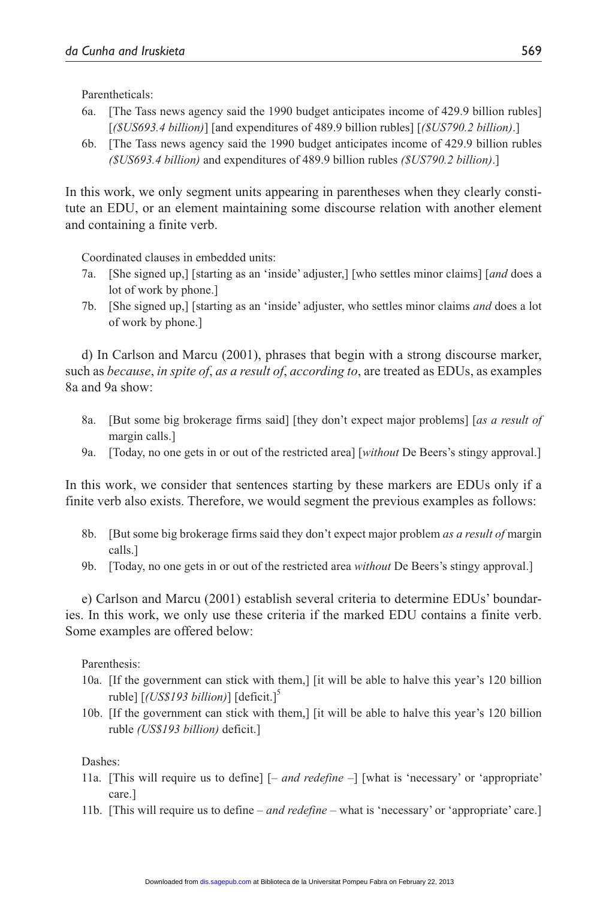Parentheticals:

- 6a. [The Tass news agency said the 1990 budget anticipates income of 429.9 billion rubles] [*(\$US693.4 billion)*] [and expenditures of 489.9 billion rubles] [*(\$US790.2 billion)*.]
- 6b. [The Tass news agency said the 1990 budget anticipates income of 429.9 billion rubles *(\$US693.4 billion)* and expenditures of 489.9 billion rubles *(\$US790.2 billion)*.]

In this work, we only segment units appearing in parentheses when they clearly constitute an EDU, or an element maintaining some discourse relation with another element and containing a finite verb.

Coordinated clauses in embedded units:

- 7a. [She signed up,] [starting as an 'inside' adjuster,] [who settles minor claims] [*and* does a lot of work by phone.]
- 7b. [She signed up,] [starting as an 'inside' adjuster, who settles minor claims *and* does a lot of work by phone.]

d) In Carlson and Marcu (2001), phrases that begin with a strong discourse marker, such as *because*, *in spite of*, *as a result of*, *according to*, are treated as EDUs, as examples 8a and 9a show:

- 8a. [But some big brokerage firms said] [they don't expect major problems] [*as a result of*  margin calls.]
- 9a. [Today, no one gets in or out of the restricted area] [*without* De Beers's stingy approval.]

In this work, we consider that sentences starting by these markers are EDUs only if a finite verb also exists. Therefore, we would segment the previous examples as follows:

- 8b. [But some big brokerage firms said they don't expect major problem *as a result of* margin calls.]
- 9b. [Today, no one gets in or out of the restricted area *without* De Beers's stingy approval.]

e) Carlson and Marcu (2001) establish several criteria to determine EDUs' boundaries. In this work, we only use these criteria if the marked EDU contains a finite verb. Some examples are offered below:

Parenthesis:

- 10a. [If the government can stick with them,] [it will be able to halve this year's 120 billion ruble] [*(US\$193 billion)*] [deficit.]<sup>5</sup>
- 10b. [If the government can stick with them,] [it will be able to halve this year's 120 billion ruble *(US\$193 billion)* deficit.]

Dashes:

- 11a. [This will require us to define] [– *and redefine* –] [what is 'necessary' or 'appropriate' care.]
- 11b. [This will require us to define *and redefine*  what is 'necessary' or 'appropriate' care.]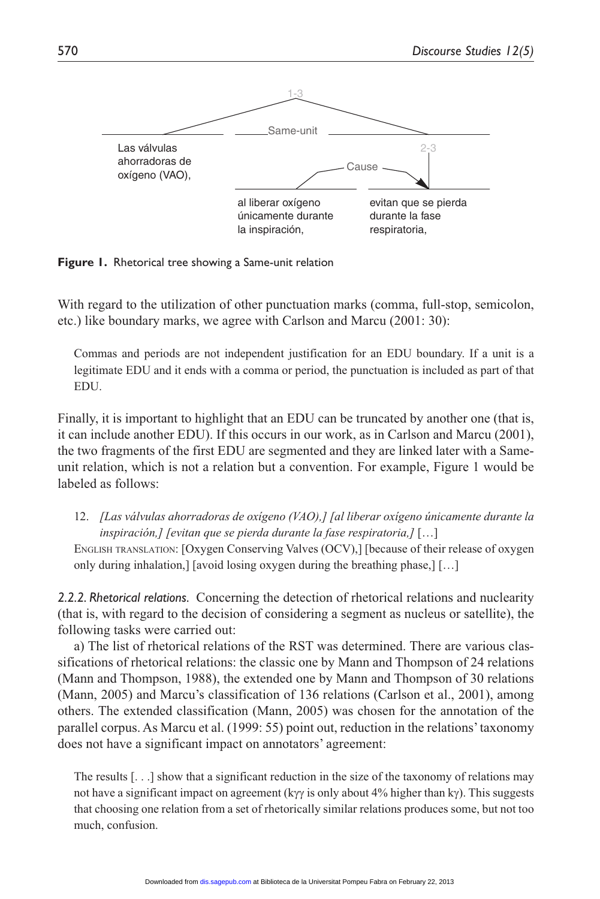

**Figure 1.** Rhetorical tree showing a Same-unit relation

With regard to the utilization of other punctuation marks (comma, full-stop, semicolon, etc.) like boundary marks, we agree with Carlson and Marcu (2001: 30):

Commas and periods are not independent justification for an EDU boundary. If a unit is a legitimate EDU and it ends with a comma or period, the punctuation is included as part of that EDU.

Finally, it is important to highlight that an EDU can be truncated by another one (that is, it can include another EDU). If this occurs in our work, as in Carlson and Marcu (2001), the two fragments of the first EDU are segmented and they are linked later with a Sameunit relation, which is not a relation but a convention. For example, Figure 1 would be labeled as follows:

12. *[Las válvulas ahorradoras de oxígeno (VAO),] [al liberar oxígeno únicamente durante la inspiración,] [evitan que se pierda durante la fase respiratoria,]* […]

English translation: [Oxygen Conserving Valves (OCV),] [because of their release of oxygen only during inhalation,] [avoid losing oxygen during the breathing phase,] […]

*2.2.2. Rhetorical relations.* Concerning the detection of rhetorical relations and nuclearity (that is, with regard to the decision of considering a segment as nucleus or satellite), the following tasks were carried out:

a) The list of rhetorical relations of the RST was determined. There are various classifications of rhetorical relations: the classic one by Mann and Thompson of 24 relations (Mann and Thompson, 1988), the extended one by Mann and Thompson of 30 relations (Mann, 2005) and Marcu's classification of 136 relations (Carlson et al., 2001), among others. The extended classification (Mann, 2005) was chosen for the annotation of the parallel corpus. As Marcu et al. (1999: 55) point out, reduction in the relations' taxonomy does not have a significant impact on annotators' agreement:

The results  $[\ldots]$  show that a significant reduction in the size of the taxonomy of relations may not have a significant impact on agreement (k $\gamma\gamma$  is only about 4% higher than k $\gamma$ ). This suggests that choosing one relation from a set of rhetorically similar relations produces some, but not too much, confusion.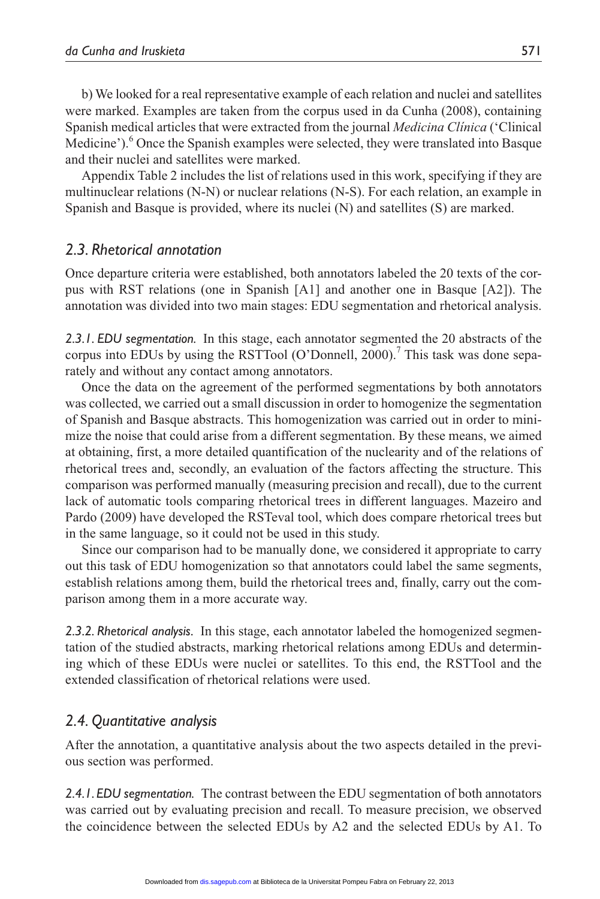b) We looked for a real representative example of each relation and nuclei and satellites were marked. Examples are taken from the corpus used in da Cunha (2008), containing Spanish medical articles that were extracted from the journal *Medicina Clínica* ('Clinical Medicine').<sup>6</sup> Once the Spanish examples were selected, they were translated into Basque and their nuclei and satellites were marked.

Appendix Table 2 includes the list of relations used in this work, specifying if they are multinuclear relations (N-N) or nuclear relations (N-S). For each relation, an example in Spanish and Basque is provided, where its nuclei (N) and satellites (S) are marked.

### *2.3. Rhetorical annotation*

Once departure criteria were established, both annotators labeled the 20 texts of the corpus with RST relations (one in Spanish [A1] and another one in Basque [A2]). The annotation was divided into two main stages: EDU segmentation and rhetorical analysis.

*2.3.1. EDU segmentation.* In this stage, each annotator segmented the 20 abstracts of the corpus into EDUs by using the RSTTool  $(O'Donnell, 2000)$ .<sup>7</sup> This task was done separately and without any contact among annotators.

Once the data on the agreement of the performed segmentations by both annotators was collected, we carried out a small discussion in order to homogenize the segmentation of Spanish and Basque abstracts. This homogenization was carried out in order to minimize the noise that could arise from a different segmentation. By these means, we aimed at obtaining, first, a more detailed quantification of the nuclearity and of the relations of rhetorical trees and, secondly, an evaluation of the factors affecting the structure. This comparison was performed manually (measuring precision and recall), due to the current lack of automatic tools comparing rhetorical trees in different languages. Mazeiro and Pardo (2009) have developed the RSTeval tool, which does compare rhetorical trees but in the same language, so it could not be used in this study.

Since our comparison had to be manually done, we considered it appropriate to carry out this task of EDU homogenization so that annotators could label the same segments, establish relations among them, build the rhetorical trees and, finally, carry out the comparison among them in a more accurate way.

*2.3.2. Rhetorical analysis.* In this stage, each annotator labeled the homogenized segmentation of the studied abstracts, marking rhetorical relations among EDUs and determining which of these EDUs were nuclei or satellites. To this end, the RSTTool and the extended classification of rhetorical relations were used.

### *2.4. Quantitative analysis*

After the annotation, a quantitative analysis about the two aspects detailed in the previous section was performed.

*2.4.1. EDU segmentation.* The contrast between the EDU segmentation of both annotators was carried out by evaluating precision and recall. To measure precision, we observed the coincidence between the selected EDUs by A2 and the selected EDUs by A1. To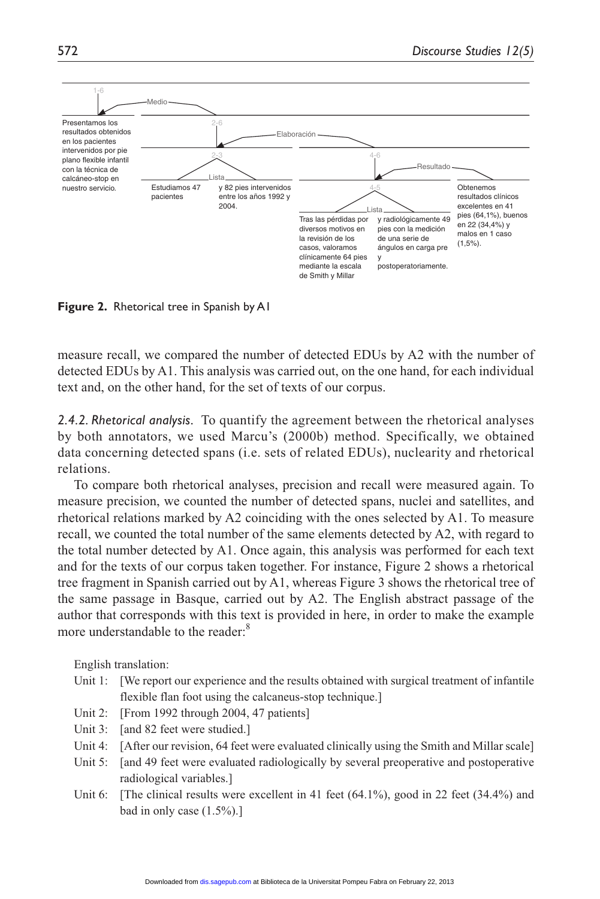

**Figure 2.** Rhetorical tree in Spanish by A1

measure recall, we compared the number of detected EDUs by A2 with the number of detected EDUs by A1. This analysis was carried out, on the one hand, for each individual text and, on the other hand, for the set of texts of our corpus.

*2.4.2. Rhetorical analysis.* To quantify the agreement between the rhetorical analyses by both annotators, we used Marcu's (2000b) method. Specifically, we obtained data concerning detected spans (i.e. sets of related EDUs), nuclearity and rhetorical relations.

To compare both rhetorical analyses, precision and recall were measured again. To measure precision, we counted the number of detected spans, nuclei and satellites, and rhetorical relations marked by A2 coinciding with the ones selected by A1. To measure recall, we counted the total number of the same elements detected by A2, with regard to the total number detected by A1. Once again, this analysis was performed for each text and for the texts of our corpus taken together. For instance, Figure 2 shows a rhetorical tree fragment in Spanish carried out by A1, whereas Figure 3 shows the rhetorical tree of the same passage in Basque, carried out by A2. The English abstract passage of the author that corresponds with this text is provided in here, in order to make the example more understandable to the reader:<sup>8</sup>

English translation:

- Unit 1: [We report our experience and the results obtained with surgical treatment of infantile flexible flan foot using the calcaneus-stop technique.]
- Unit 2: [From 1992 through 2004, 47 patients]
- Unit 3: [and 82 feet were studied.]
- Unit 4: [After our revision, 64 feet were evaluated clinically using the Smith and Millar scale]
- Unit 5: [and 49 feet were evaluated radiologically by several preoperative and postoperative radiological variables.]
- Unit 6: [The clinical results were excellent in 41 feet (64.1%), good in 22 feet (34.4%) and bad in only case (1.5%).]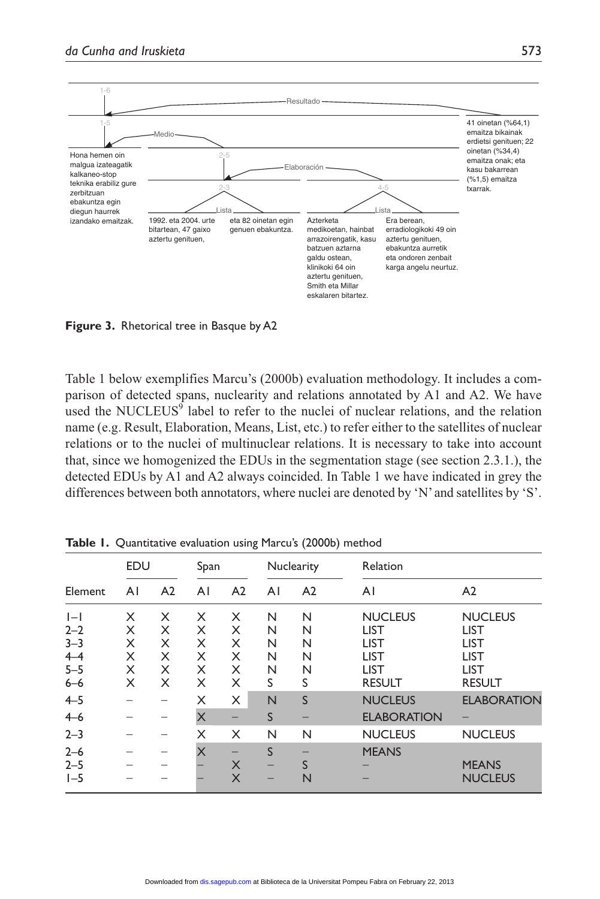

**Figure 3.** Rhetorical tree in Basque by A2

Table 1 below exemplifies Marcu's (2000b) evaluation methodology. It includes a comparison of detected spans, nuclearity and relations annotated by A1 and A2. We have used the NUCLEUS<sup>9</sup> label to refer to the nuclei of nuclear relations, and the relation name (e.g. Result, Elaboration, Means, List, etc.) to refer either to the satellites of nuclear relations or to the nuclei of multinuclear relations. It is necessary to take into account that, since we homogenized the EDUs in the segmentation stage (see section 2.3.1.), the detected EDUs by A1 and A2 always coincided. In Table 1 we have indicated in grey the differences between both annotators, where nuclei are denoted by 'N' and satellites by 'S'.

|         | EDU |                | Span     |                |              | Nuclearity     | Relation           |                    |  |  |
|---------|-----|----------------|----------|----------------|--------------|----------------|--------------------|--------------------|--|--|
| Element | ΑI  | A <sub>2</sub> | ΑI       | A <sub>2</sub> | ΑI           | A <sub>2</sub> | ΑI                 | A <sub>2</sub>     |  |  |
| $ - $   | X   | X              | X        | X              | N            | N              | <b>NUCLEUS</b>     | <b>NUCLEUS</b>     |  |  |
| $2 - 2$ | X   | X              | X        | X              | N            | N              | <b>LIST</b>        | <b>LIST</b>        |  |  |
| $3 - 3$ | X   | X              | X        | X              | N            | N              | <b>LIST</b>        | <b>LIST</b>        |  |  |
| $4 - 4$ | X   | X              | X        | X              | N            | N              | <b>LIST</b>        | <b>LIST</b>        |  |  |
| $5 - 5$ | X   | X              | X        | X              | N            | N              | <b>LIST</b>        | <b>LIST</b>        |  |  |
| $6 - 6$ | X   | X              | X        | X              | S            | S              | <b>RESULT</b>      | <b>RESULT</b>      |  |  |
| $4 - 5$ |     |                | X        | X              | $\mathsf{N}$ | S              | <b>NUCLEUS</b>     | <b>ELABORATION</b> |  |  |
| $4 - 6$ |     |                | X        |                | S            |                | <b>ELABORATION</b> | –                  |  |  |
| $2 - 3$ |     |                | X        | X              | N            | N              | <b>NUCLEUS</b>     | <b>NUCLEUS</b>     |  |  |
| $2 - 6$ |     |                | $\times$ |                | S            |                | <b>MEANS</b>       |                    |  |  |
| $2 - 5$ |     |                |          | X              | -            | S              |                    | <b>MEANS</b>       |  |  |
| $1 - 5$ |     |                |          | $\times$       |              | N              |                    | <b>NUCLEUS</b>     |  |  |

**Table 1.** Quantitative evaluation using Marcu's (2000b) method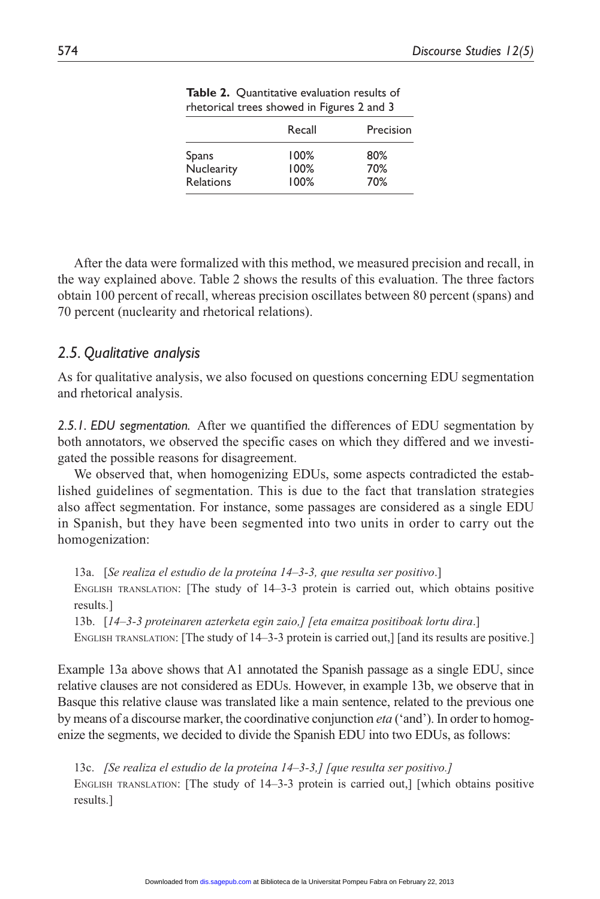|                  | Recall | Precision |
|------------------|--------|-----------|
| Spans            | 100%   | 80%       |
| Nuclearity       | 100%   | 70%       |
| <b>Relations</b> | 100%   | 70%       |

**Table 2.** Quantitative evaluation results of rhetorical trees showed in Figures 2 and 3

After the data were formalized with this method, we measured precision and recall, in the way explained above. Table 2 shows the results of this evaluation. The three factors obtain 100 percent of recall, whereas precision oscillates between 80 percent (spans) and 70 percent (nuclearity and rhetorical relations).

### *2.5. Qualitative analysis*

As for qualitative analysis, we also focused on questions concerning EDU segmentation and rhetorical analysis.

*2.5.1. EDU segmentation.* After we quantified the differences of EDU segmentation by both annotators, we observed the specific cases on which they differed and we investigated the possible reasons for disagreement.

We observed that, when homogenizing EDUs, some aspects contradicted the established guidelines of segmentation. This is due to the fact that translation strategies also affect segmentation. For instance, some passages are considered as a single EDU in Spanish, but they have been segmented into two units in order to carry out the homogenization:

13a. [*Se realiza el estudio de la proteína 14–3-3, que resulta ser positivo*.] English translation: [The study of 14–3-3 protein is carried out, which obtains positive results.] 13b. [*14–3-3 proteinaren azterketa egin zaio,] [eta emaitza positiboak lortu dira*.]

ENGLISH TRANSLATION: [The study of 14–3-3 protein is carried out,] [and its results are positive.]

Example 13a above shows that A1 annotated the Spanish passage as a single EDU, since relative clauses are not considered as EDUs. However, in example 13b, we observe that in Basque this relative clause was translated like a main sentence, related to the previous one by means of a discourse marker, the coordinative conjunction *eta* ('and'). In order to homogenize the segments, we decided to divide the Spanish EDU into two EDUs, as follows:

13c. *[Se realiza el estudio de la proteína 14–3-3,] [que resulta ser positivo.]*

English translation: [The study of 14–3-3 protein is carried out,] [which obtains positive results.]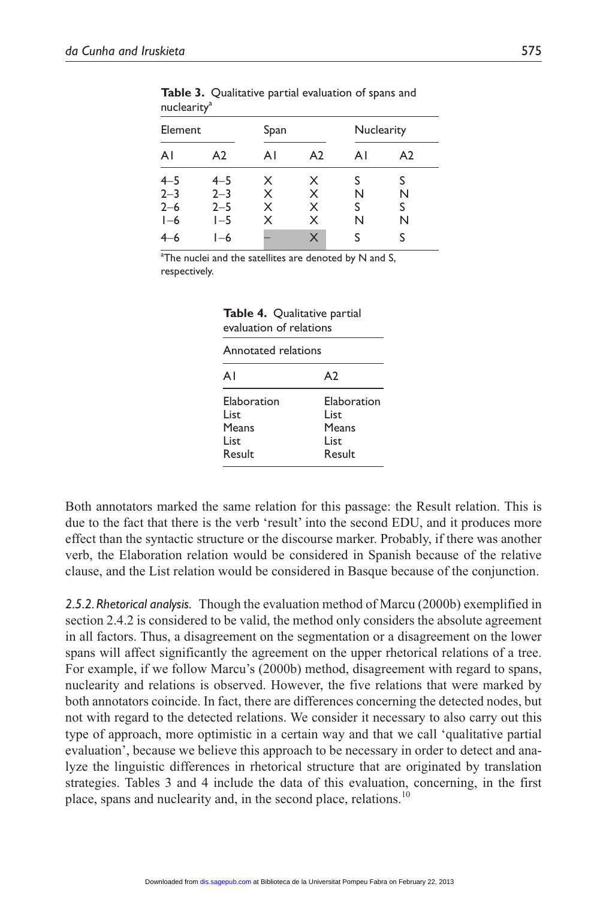| Element |         | Span |                |    | Nuclearity |  |
|---------|---------|------|----------------|----|------------|--|
| ΑI      | A2      | A١   | A <sub>2</sub> | ΑI | A2         |  |
| $4 - 5$ | $4 - 5$ | X    | X              | S  | S          |  |
| $2 - 3$ | $2 - 3$ | X    | X              | N  | N          |  |
| $2 - 6$ | $2 - 5$ | X    | X              | S  | S          |  |
| $I - 6$ | $I - 5$ | X    | X              | N  | N          |  |
| $4 - 6$ | $1-6$   |      | X              | S  | S          |  |

**Table 3.** Qualitative partial evaluation of spans and nuclearitya

<sup>a</sup>The nuclei and the satellites are denoted by N and S, respectively.

| Table 4. Qualitative partial |
|------------------------------|
| evaluation of relations      |

| Annotated relations                            |                                                |  |  |  |
|------------------------------------------------|------------------------------------------------|--|--|--|
| ΑI                                             | A2                                             |  |  |  |
| Elaboration<br>List<br>Means<br>List<br>Result | Elaboration<br>List<br>Means<br>List<br>Result |  |  |  |

Both annotators marked the same relation for this passage: the Result relation. This is due to the fact that there is the verb 'result' into the second EDU, and it produces more effect than the syntactic structure or the discourse marker. Probably, if there was another verb, the Elaboration relation would be considered in Spanish because of the relative clause, and the List relation would be considered in Basque because of the conjunction.

*2.5.2. Rhetorical analysis.* Though the evaluation method of Marcu (2000b) exemplified in section 2.4.2 is considered to be valid, the method only considers the absolute agreement in all factors. Thus, a disagreement on the segmentation or a disagreement on the lower spans will affect significantly the agreement on the upper rhetorical relations of a tree. For example, if we follow Marcu's (2000b) method, disagreement with regard to spans, nuclearity and relations is observed. However, the five relations that were marked by both annotators coincide. In fact, there are differences concerning the detected nodes, but not with regard to the detected relations. We consider it necessary to also carry out this type of approach, more optimistic in a certain way and that we call 'qualitative partial evaluation', because we believe this approach to be necessary in order to detect and analyze the linguistic differences in rhetorical structure that are originated by translation strategies. Tables 3 and 4 include the data of this evaluation, concerning, in the first place, spans and nuclearity and, in the second place, relations.<sup>10</sup>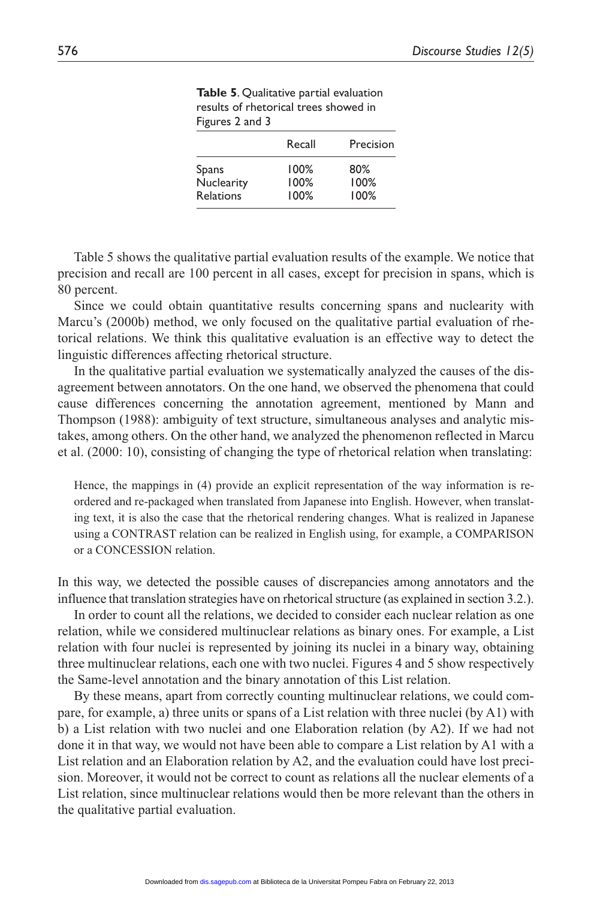| results of rhetorical trees showed in<br>Figures 2 and 3 |        |           |  |  |  |
|----------------------------------------------------------|--------|-----------|--|--|--|
|                                                          | Recall | Precision |  |  |  |
| Spans                                                    | 100%   | 80%       |  |  |  |
| Nuclearity                                               | 100%   | 100%      |  |  |  |
| <b>Relations</b>                                         | 100%   | 100%      |  |  |  |

**Table 5**. Qualitative partial evaluation

Table 5 shows the qualitative partial evaluation results of the example. We notice that precision and recall are 100 percent in all cases, except for precision in spans, which is 80 percent.

Since we could obtain quantitative results concerning spans and nuclearity with Marcu's (2000b) method, we only focused on the qualitative partial evaluation of rhetorical relations. We think this qualitative evaluation is an effective way to detect the linguistic differences affecting rhetorical structure.

In the qualitative partial evaluation we systematically analyzed the causes of the disagreement between annotators. On the one hand, we observed the phenomena that could cause differences concerning the annotation agreement, mentioned by Mann and Thompson (1988): ambiguity of text structure, simultaneous analyses and analytic mistakes, among others. On the other hand, we analyzed the phenomenon reflected in Marcu et al. (2000: 10), consisting of changing the type of rhetorical relation when translating:

Hence, the mappings in (4) provide an explicit representation of the way information is reordered and re-packaged when translated from Japanese into English. However, when translating text, it is also the case that the rhetorical rendering changes. What is realized in Japanese using a CONTRAST relation can be realized in English using, for example, a COMPARISON or a CONCESSION relation.

In this way, we detected the possible causes of discrepancies among annotators and the influence that translation strategies have on rhetorical structure (as explained in section 3.2.).

In order to count all the relations, we decided to consider each nuclear relation as one relation, while we considered multinuclear relations as binary ones. For example, a List relation with four nuclei is represented by joining its nuclei in a binary way, obtaining three multinuclear relations, each one with two nuclei. Figures 4 and 5 show respectively the Same-level annotation and the binary annotation of this List relation.

By these means, apart from correctly counting multinuclear relations, we could compare, for example, a) three units or spans of a List relation with three nuclei (by A1) with b) a List relation with two nuclei and one Elaboration relation (by A2). If we had not done it in that way, we would not have been able to compare a List relation by A1 with a List relation and an Elaboration relation by A2, and the evaluation could have lost precision. Moreover, it would not be correct to count as relations all the nuclear elements of a List relation, since multinuclear relations would then be more relevant than the others in the qualitative partial evaluation.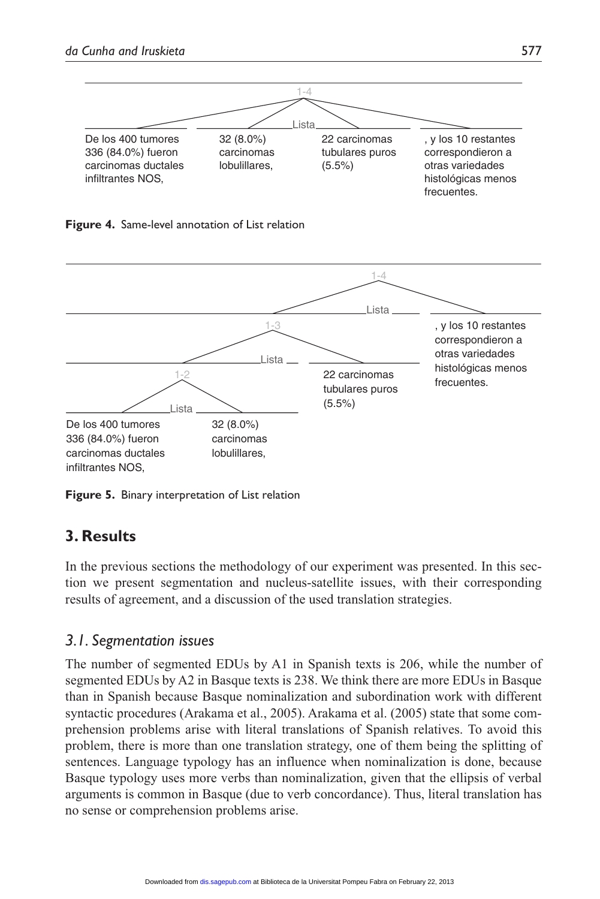

**Figure 4.** Same-level annotation of List relation



**Figure 5.** Binary interpretation of List relation

# **3. Results**

In the previous sections the methodology of our experiment was presented. In this section we present segmentation and nucleus-satellite issues, with their corresponding results of agreement, and a discussion of the used translation strategies.

### *3.1. Segmentation issues*

The number of segmented EDUs by A1 in Spanish texts is 206, while the number of segmented EDUs by A2 in Basque texts is 238. We think there are more EDUs in Basque than in Spanish because Basque nominalization and subordination work with different syntactic procedures (Arakama et al., 2005). Arakama et al. (2005) state that some comprehension problems arise with literal translations of Spanish relatives. To avoid this problem, there is more than one translation strategy, one of them being the splitting of sentences. Language typology has an influence when nominalization is done, because Basque typology uses more verbs than nominalization, given that the ellipsis of verbal arguments is common in Basque (due to verb concordance). Thus, literal translation has no sense or comprehension problems arise.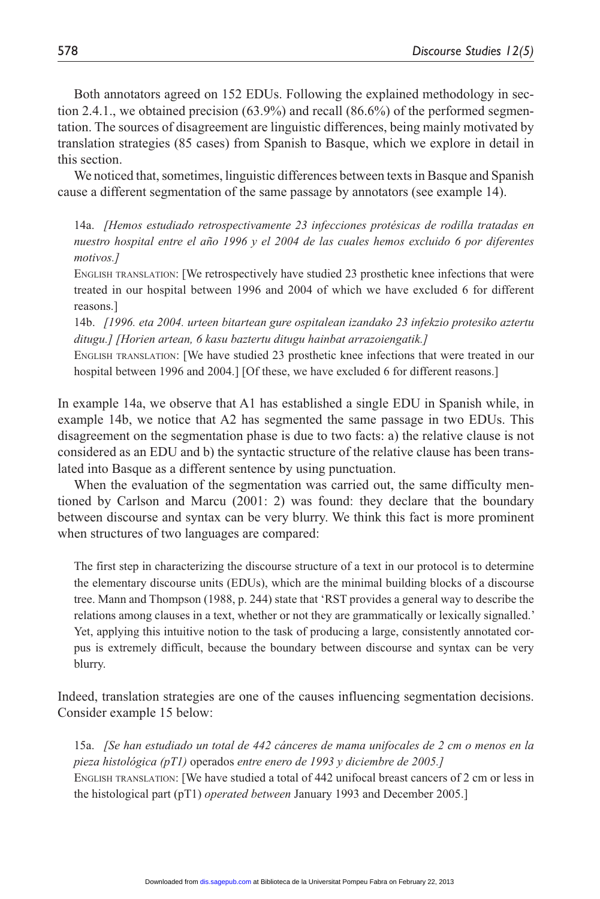Both annotators agreed on 152 EDUs. Following the explained methodology in section 2.4.1., we obtained precision  $(63.9\%)$  and recall  $(86.6\%)$  of the performed segmentation. The sources of disagreement are linguistic differences, being mainly motivated by translation strategies (85 cases) from Spanish to Basque, which we explore in detail in this section.

We noticed that, sometimes, linguistic differences between texts in Basque and Spanish cause a different segmentation of the same passage by annotators (see example 14).

14a. *[Hemos estudiado retrospectivamente 23 infecciones protésicas de rodilla tratadas en nuestro hospital entre el año 1996 y el 2004 de las cuales hemos excluido 6 por diferentes motivos.]*

English translation: [We retrospectively have studied 23 prosthetic knee infections that were treated in our hospital between 1996 and 2004 of which we have excluded 6 for different reasons.]

14b. *[1996. eta 2004. urteen bitartean gure ospitalean izandako 23 infekzio protesiko aztertu ditugu.] [Horien artean, 6 kasu baztertu ditugu hainbat arrazoiengatik.]*

English translation: [We have studied 23 prosthetic knee infections that were treated in our hospital between 1996 and 2004.] [Of these, we have excluded 6 for different reasons.]

In example 14a, we observe that A1 has established a single EDU in Spanish while, in example 14b, we notice that A2 has segmented the same passage in two EDUs. This disagreement on the segmentation phase is due to two facts: a) the relative clause is not considered as an EDU and b) the syntactic structure of the relative clause has been translated into Basque as a different sentence by using punctuation.

When the evaluation of the segmentation was carried out, the same difficulty mentioned by Carlson and Marcu (2001: 2) was found: they declare that the boundary between discourse and syntax can be very blurry. We think this fact is more prominent when structures of two languages are compared:

The first step in characterizing the discourse structure of a text in our protocol is to determine the elementary discourse units (EDUs), which are the minimal building blocks of a discourse tree. Mann and Thompson (1988, p. 244) state that 'RST provides a general way to describe the relations among clauses in a text, whether or not they are grammatically or lexically signalled.' Yet, applying this intuitive notion to the task of producing a large, consistently annotated corpus is extremely difficult, because the boundary between discourse and syntax can be very blurry.

Indeed, translation strategies are one of the causes influencing segmentation decisions. Consider example 15 below:

15a. *[Se han estudiado un total de 442 cánceres de mama unifocales de 2 cm o menos en la pieza histológica (pT1)* operados *entre enero de 1993 y diciembre de 2005.]* English translation: [We have studied a total of 442 unifocal breast cancers of 2 cm or less in the histological part (pT1) *operated between* January 1993 and December 2005.]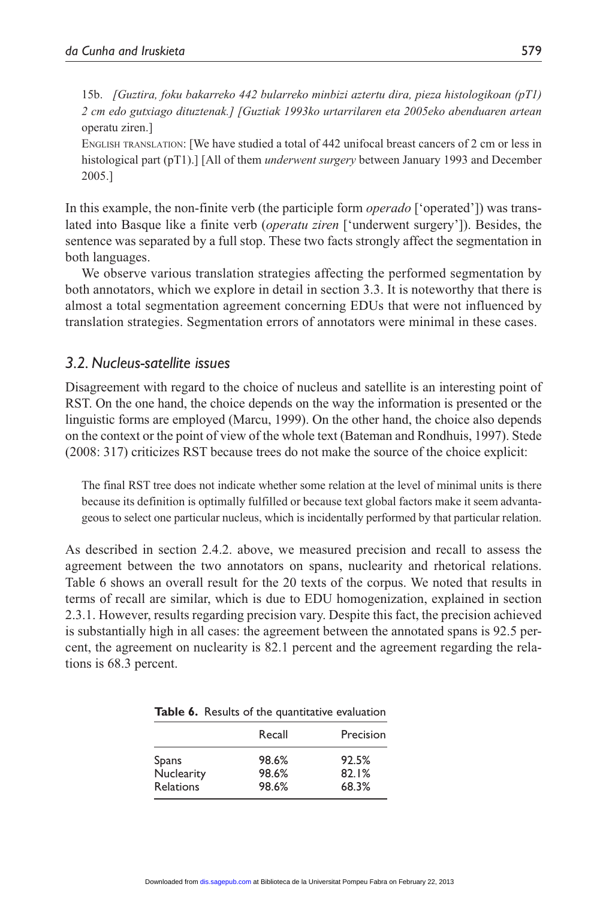15b. *[Guztira, foku bakarreko 442 bularreko minbizi aztertu dira, pieza histologikoan (pT1) 2 cm edo gutxiago dituztenak.] [Guztiak 1993ko urtarrilaren eta 2005eko abenduaren artean* operatu ziren.]

English translation: [We have studied a total of 442 unifocal breast cancers of 2 cm or less in histological part (pT1).] [All of them *underwent surgery* between January 1993 and December 2005.]

In this example, the non-finite verb (the participle form *operado* ['operated']) was translated into Basque like a finite verb (*operatu ziren* ['underwent surgery']). Besides, the sentence was separated by a full stop. These two facts strongly affect the segmentation in both languages.

We observe various translation strategies affecting the performed segmentation by both annotators, which we explore in detail in section 3.3. It is noteworthy that there is almost a total segmentation agreement concerning EDUs that were not influenced by translation strategies. Segmentation errors of annotators were minimal in these cases.

### *3.2. Nucleus-satellite issues*

Disagreement with regard to the choice of nucleus and satellite is an interesting point of RST. On the one hand, the choice depends on the way the information is presented or the linguistic forms are employed (Marcu, 1999). On the other hand, the choice also depends on the context or the point of view of the whole text (Bateman and Rondhuis, 1997). Stede (2008: 317) criticizes RST because trees do not make the source of the choice explicit:

The final RST tree does not indicate whether some relation at the level of minimal units is there because its definition is optimally fulfilled or because text global factors make it seem advantageous to select one particular nucleus, which is incidentally performed by that particular relation.

As described in section 2.4.2. above, we measured precision and recall to assess the agreement between the two annotators on spans, nuclearity and rhetorical relations. Table 6 shows an overall result for the 20 texts of the corpus. We noted that results in terms of recall are similar, which is due to EDU homogenization, explained in section 2.3.1. However, results regarding precision vary. Despite this fact, the precision achieved is substantially high in all cases: the agreement between the annotated spans is 92.5 percent, the agreement on nuclearity is 82.1 percent and the agreement regarding the relations is 68.3 percent.

|                  | Recall | Precision |
|------------------|--------|-----------|
| Spans            | 98.6%  | 92.5%     |
| Nuclearity       | 98.6%  | 82.1%     |
| <b>Relations</b> | 98.6%  | 68.3%     |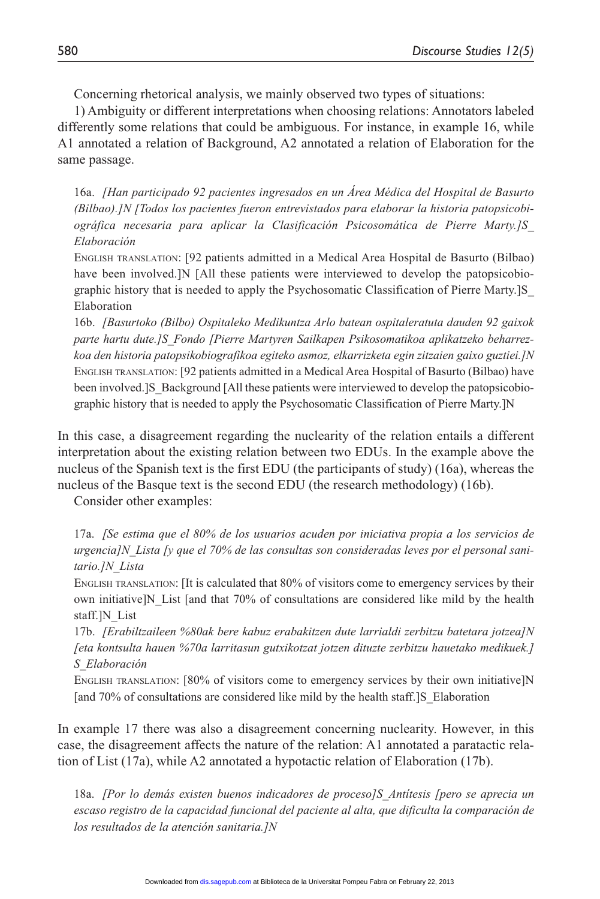Concerning rhetorical analysis, we mainly observed two types of situations:

1) Ambiguity or different interpretations when choosing relations: Annotators labeled differently some relations that could be ambiguous. For instance, in example 16, while A1 annotated a relation of Background, A2 annotated a relation of Elaboration for the same passage.

16a. *[Han participado 92 pacientes ingresados en un Área Médica del Hospital de Basurto (Bilbao).]N [Todos los pacientes fueron entrevistados para elaborar la historia patopsicobiográfica necesaria para aplicar la Clasificación Psicosomática de Pierre Marty.]S\_ Elaboración*

English translation: [92 patients admitted in a Medical Area Hospital de Basurto (Bilbao) have been involved.]N [All these patients were interviewed to develop the patopsicobiographic history that is needed to apply the Psychosomatic Classification of Pierre Marty.]S\_ Elaboration

16b. *[Basurtoko (Bilbo) Ospitaleko Medikuntza Arlo batean ospitaleratuta dauden 92 gaixok parte hartu dute.]S\_Fondo [Pierre Martyren Sailkapen Psikosomatikoa aplikatzeko beharrezkoa den historia patopsikobiografikoa egiteko asmoz, elkarrizketa egin zitzaien gaixo guztiei.]N* English translation: [92 patients admitted in a Medical Area Hospital of Basurto (Bilbao) have been involved.]S\_Background [All these patients were interviewed to develop the patopsicobiographic history that is needed to apply the Psychosomatic Classification of Pierre Marty.]N

In this case, a disagreement regarding the nuclearity of the relation entails a different interpretation about the existing relation between two EDUs. In the example above the nucleus of the Spanish text is the first EDU (the participants of study) (16a), whereas the nucleus of the Basque text is the second EDU (the research methodology) (16b).

Consider other examples:

17a. *[Se estima que el 80% de los usuarios acuden por iniciativa propia a los servicios de urgencia]N\_Lista [y que el 70% de las consultas son consideradas leves por el personal sanitario.]N\_Lista*

English translation: [It is calculated that 80% of visitors come to emergency services by their own initiative]N\_List [and that 70% of consultations are considered like mild by the health staff.]N\_List

17b. *[Erabiltzaileen %80ak bere kabuz erabakitzen dute larrialdi zerbitzu batetara jotzea]N [eta kontsulta hauen %70a larritasun gutxikotzat jotzen dituzte zerbitzu hauetako medikuek.] S\_Elaboración*

English translation: [80% of visitors come to emergency services by their own initiative]N [and 70% of consultations are considered like mild by the health staff.]S\_Elaboration

In example 17 there was also a disagreement concerning nuclearity. However, in this case, the disagreement affects the nature of the relation: A1 annotated a paratactic relation of List (17a), while A2 annotated a hypotactic relation of Elaboration (17b).

18a. *[Por lo demás existen buenos indicadores de proceso]S\_Antítesis [pero se aprecia un escaso registro de la capacidad funcional del paciente al alta, que dificulta la comparación de los resultados de la atención sanitaria.]N*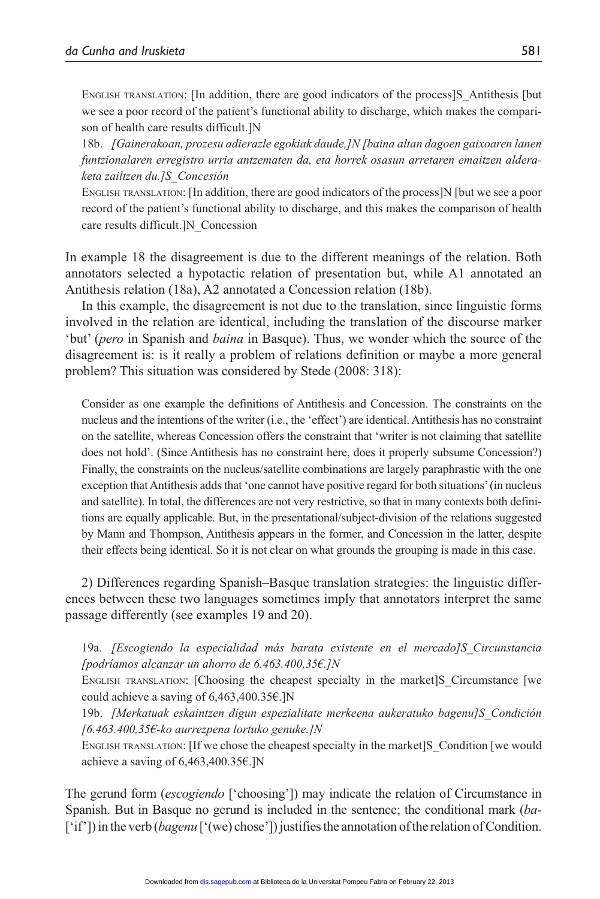English translation: [In addition, there are good indicators of the process]S\_Antithesis [but we see a poor record of the patient's functional ability to discharge, which makes the comparison of health care results difficult.]N

18b. *[Gainerakoan, prozesu adierazle egokiak daude,]N [baina altan dagoen gaixoaren lanen funtzionalaren erregistro urria antzematen da, eta horrek osasun arretaren emaitzen alderaketa zailtzen du.]S\_Concesión*

English translation: [In addition, there are good indicators of the process]N [but we see a poor record of the patient's functional ability to discharge, and this makes the comparison of health care results difficult.]N\_Concession

In example 18 the disagreement is due to the different meanings of the relation. Both annotators selected a hypotactic relation of presentation but, while A1 annotated an Antithesis relation (18a), A2 annotated a Concession relation (18b).

In this example, the disagreement is not due to the translation, since linguistic forms involved in the relation are identical, including the translation of the discourse marker 'but' (*pero* in Spanish and *baina* in Basque). Thus, we wonder which the source of the disagreement is: is it really a problem of relations definition or maybe a more general problem? This situation was considered by Stede (2008: 318):

Consider as one example the definitions of Antithesis and Concession. The constraints on the nucleus and the intentions of the writer (i.e., the 'effect') are identical. Antithesis has no constraint on the satellite, whereas Concession offers the constraint that 'writer is not claiming that satellite does not hold'. (Since Antithesis has no constraint here, does it properly subsume Concession?) Finally, the constraints on the nucleus/satellite combinations are largely paraphrastic with the one exception that Antithesis adds that 'one cannot have positive regard for both situations' (in nucleus and satellite). In total, the differences are not very restrictive, so that in many contexts both definitions are equally applicable. But, in the presentational/subject-division of the relations suggested by Mann and Thompson, Antithesis appears in the former, and Concession in the latter, despite their effects being identical. So it is not clear on what grounds the grouping is made in this case.

2) Differences regarding Spanish–Basque translation strategies: the linguistic differences between these two languages sometimes imply that annotators interpret the same passage differently (see examples 19 and 20).

19a. *[Escogiendo la especialidad más barata existente en el mercado]S\_Circunstancia [podríamos alcanzar un ahorro de 6.463.400,35€.]N*

ENGLISH TRANSLATION: [Choosing the cheapest specialty in the market]S Circumstance [we could achieve a saving of 6,463,400.35€.]N

19b. *[Merkatuak eskaintzen digun espezialitate merkeena aukeratuko bagenu]S\_Condición [6.463.400,35€-ko aurrezpena lortuko genuke.]N*

ENGLISH TRANSLATION: [If we chose the cheapest specialty in the market]S Condition [we would achieve a saving of 6,463,400.35€.]N

The gerund form (*escogiendo* ['choosing']) may indicate the relation of Circumstance in Spanish. But in Basque no gerund is included in the sentence; the conditional mark (*ba-*  ['if']) in the verb (*bagenu* ['(we) chose']) justifies the annotation of the relation of Condition.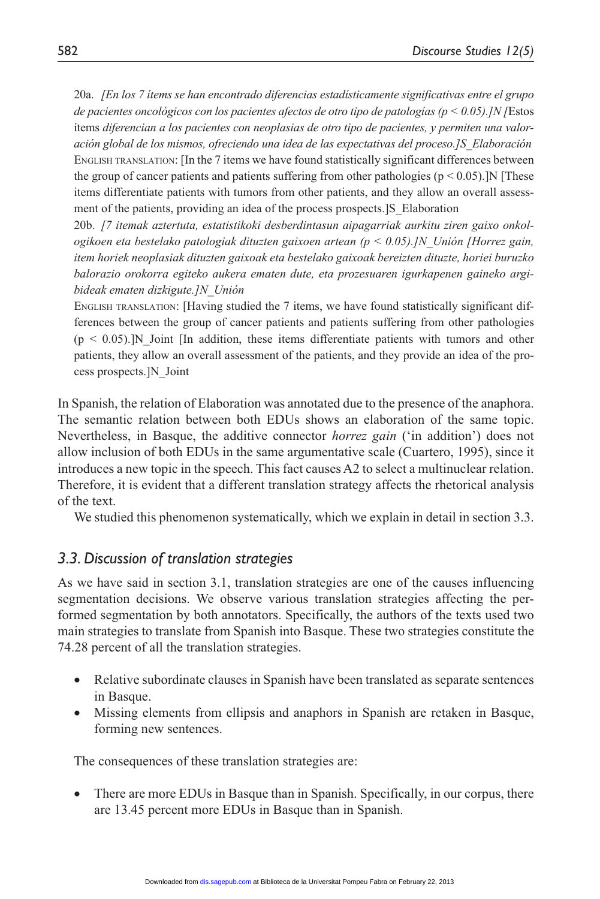20a. *[En los 7 ítems se han encontrado diferencias estadísticamente significativas entre el grupo de pacientes oncológicos con los pacientes afectos de otro tipo de patologías (p < 0.05).]N [*Estos ítems *diferencian a los pacientes con neoplasias de otro tipo de pacientes, y permiten una valoración global de los mismos, ofreciendo una idea de las expectativas del proceso.]S\_Elaboración* English translation: [In the 7 items we have found statistically significant differences between the group of cancer patients and patients suffering from other pathologies ( $p < 0.05$ ).]N [These items differentiate patients with tumors from other patients, and they allow an overall assessment of the patients, providing an idea of the process prospects.]S\_Elaboration

20b. *[7 itemak aztertuta, estatistikoki desberdintasun aipagarriak aurkitu ziren gaixo onkologikoen eta bestelako patologiak dituzten gaixoen artean (p < 0.05).]N\_Unión [Horrez gain, item horiek neoplasiak dituzten gaixoak eta bestelako gaixoak bereizten dituzte, horiei buruzko balorazio orokorra egiteko aukera ematen dute, eta prozesuaren igurkapenen gaineko argibideak ematen dizkigute.]N\_Unión*

English translation: [Having studied the 7 items, we have found statistically significant differences between the group of cancer patients and patients suffering from other pathologies  $(p < 0.05)$ .]N Joint [In addition, these items differentiate patients with tumors and other patients, they allow an overall assessment of the patients, and they provide an idea of the process prospects.]N\_Joint

In Spanish, the relation of Elaboration was annotated due to the presence of the anaphora. The semantic relation between both EDUs shows an elaboration of the same topic. Nevertheless, in Basque, the additive connector *horrez gain* ('in addition') does not allow inclusion of both EDUs in the same argumentative scale (Cuartero, 1995), since it introduces a new topic in the speech. This fact causes A2 to select a multinuclear relation. Therefore, it is evident that a different translation strategy affects the rhetorical analysis of the text.

We studied this phenomenon systematically, which we explain in detail in section 3.3.

### *3.3. Discussion of translation strategies*

As we have said in section 3.1, translation strategies are one of the causes influencing segmentation decisions. We observe various translation strategies affecting the performed segmentation by both annotators. Specifically, the authors of the texts used two main strategies to translate from Spanish into Basque. These two strategies constitute the 74.28 percent of all the translation strategies.

- Relative subordinate clauses in Spanish have been translated as separate sentences in Basque.
- Missing elements from ellipsis and anaphors in Spanish are retaken in Basque, forming new sentences.

The consequences of these translation strategies are:

• There are more EDUs in Basque than in Spanish. Specifically, in our corpus, there are 13.45 percent more EDUs in Basque than in Spanish.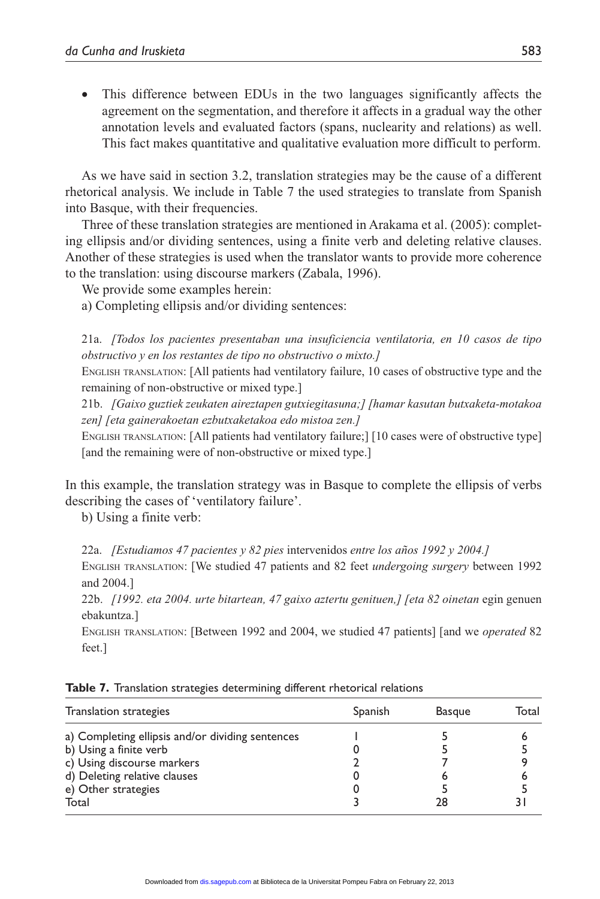This difference between EDUs in the two languages significantly affects the agreement on the segmentation, and therefore it affects in a gradual way the other annotation levels and evaluated factors (spans, nuclearity and relations) as well. This fact makes quantitative and qualitative evaluation more difficult to perform.

As we have said in section 3.2, translation strategies may be the cause of a different rhetorical analysis. We include in Table 7 the used strategies to translate from Spanish into Basque, with their frequencies.

Three of these translation strategies are mentioned in Arakama et al. (2005): completing ellipsis and/or dividing sentences, using a finite verb and deleting relative clauses. Another of these strategies is used when the translator wants to provide more coherence to the translation: using discourse markers (Zabala, 1996).

We provide some examples herein:

a) Completing ellipsis and/or dividing sentences:

21a. *[Todos los pacientes presentaban una insuficiencia ventilatoria, en 10 casos de tipo obstructivo y en los restantes de tipo no obstructivo o mixto.]*

English translation: [All patients had ventilatory failure, 10 cases of obstructive type and the remaining of non-obstructive or mixed type.]

21b. *[Gaixo guztiek zeukaten aireztapen gutxiegitasuna;] [hamar kasutan butxaketa-motakoa zen] [eta gainerakoetan ezbutxaketakoa edo mistoa zen.]*

English translation: [All patients had ventilatory failure;] [10 cases were of obstructive type] [and the remaining were of non-obstructive or mixed type.]

In this example, the translation strategy was in Basque to complete the ellipsis of verbs describing the cases of 'ventilatory failure'.

b) Using a finite verb:

22a. *[Estudiamos 47 pacientes y 82 pies* intervenidos *entre los años 1992 y 2004.]*

English translation: [We studied 47 patients and 82 feet *undergoing surgery* between 1992 and 2004.]

22b. *[1992. eta 2004. urte bitartean, 47 gaixo aztertu genituen,] [eta 82 oinetan* egin genuen ebakuntza.]

English translation: [Between 1992 and 2004, we studied 47 patients] [and we *operated* 82 feet.]

| Translation strategies                           | Spanish | <b>Basque</b> | Total |
|--------------------------------------------------|---------|---------------|-------|
| a) Completing ellipsis and/or dividing sentences |         |               |       |
| b) Using a finite verb                           |         |               |       |
| c) Using discourse markers                       |         |               |       |
| d) Deleting relative clauses                     |         |               |       |
| e) Other strategies                              |         |               |       |
| Total                                            |         |               |       |
|                                                  |         |               |       |

| Table 7. Translation strategies determining different rhetorical relations |  |  |  |  |  |  |  |
|----------------------------------------------------------------------------|--|--|--|--|--|--|--|
|----------------------------------------------------------------------------|--|--|--|--|--|--|--|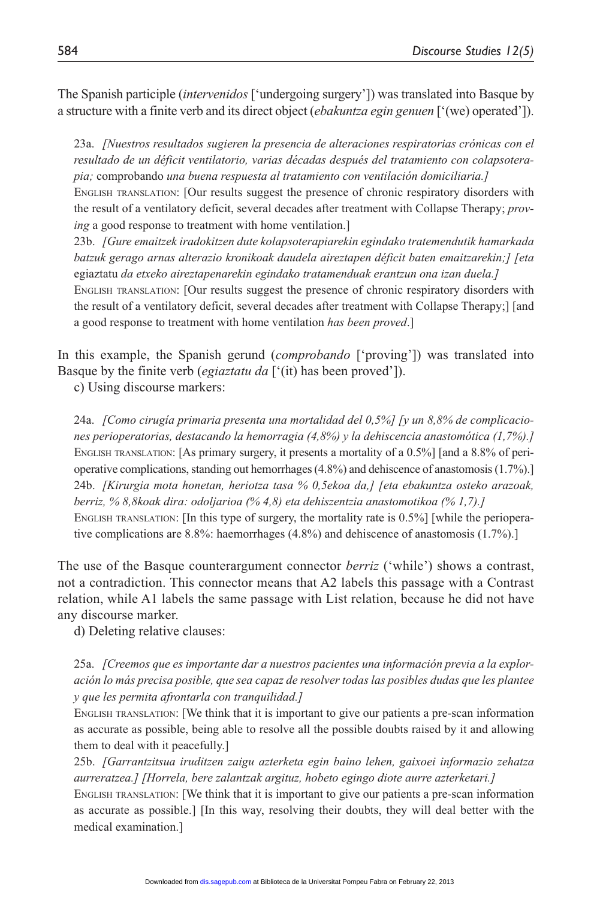The Spanish participle (*intervenidos* ['undergoing surgery']) was translated into Basque by a structure with a finite verb and its direct object (*ebakuntza egin genuen* ['(we) operated']).

23a. *[Nuestros resultados sugieren la presencia de alteraciones respiratorias crónicas con el resultado de un déficit ventilatorio, varias décadas después del tratamiento con colapsoterapia;* comprobando *una buena respuesta al tratamiento con ventilación domiciliaria.]*

English translation: [Our results suggest the presence of chronic respiratory disorders with the result of a ventilatory deficit, several decades after treatment with Collapse Therapy; *proving* a good response to treatment with home ventilation.]

23b. *[Gure emaitzek iradokitzen dute kolapsoterapiarekin egindako tratemendutik hamarkada batzuk gerago arnas alterazio kronikoak daudela aireztapen déficit baten emaitzarekin;] [eta*  egiaztatu *da etxeko aireztapenarekin egindako tratamenduak erantzun ona izan duela.]*

English translation: [Our results suggest the presence of chronic respiratory disorders with the result of a ventilatory deficit, several decades after treatment with Collapse Therapy;] [and a good response to treatment with home ventilation *has been proved*.]

In this example, the Spanish gerund (*comprobando* ['proving']) was translated into Basque by the finite verb (*egiaztatu da* ['(it) has been proved']).

c) Using discourse markers:

24a. *[Como cirugía primaria presenta una mortalidad del 0,5%] [y un 8,8% de complicaciones perioperatorias, destacando la hemorragia (4,8%) y la dehiscencia anastomótica (1,7%).]* English translation: [As primary surgery, it presents a mortality of a 0.5%] [and a 8.8% of perioperative complications, standing out hemorrhages (4.8%) and dehiscence of anastomosis (1.7%).] 24b. *[Kirurgia mota honetan, heriotza tasa % 0,5ekoa da,] [eta ebakuntza osteko arazoak, berriz, % 8,8koak dira: odoljarioa (% 4,8) eta dehiszentzia anastomotikoa (% 1,7).]* English translation: [In this type of surgery, the mortality rate is 0.5%] [while the perioperative complications are 8.8%: haemorrhages (4.8%) and dehiscence of anastomosis (1.7%).]

The use of the Basque counterargument connector *berriz* ('while') shows a contrast, not a contradiction. This connector means that A2 labels this passage with a Contrast relation, while A1 labels the same passage with List relation, because he did not have any discourse marker.

d) Deleting relative clauses:

25a. *[Creemos que es importante dar a nuestros pacientes una información previa a la exploración lo más precisa posible, que sea capaz de resolver todas las posibles dudas que les plantee y que les permita afrontarla con tranquilidad.]*

English translation: [We think that it is important to give our patients a pre-scan information as accurate as possible, being able to resolve all the possible doubts raised by it and allowing them to deal with it peacefully.]

25b. *[Garrantzitsua iruditzen zaigu azterketa egin baino lehen, gaixoei informazio zehatza aurreratzea.] [Horrela, bere zalantzak argituz, hobeto egingo diote aurre azterketari.]*

English translation: [We think that it is important to give our patients a pre-scan information as accurate as possible.] [In this way, resolving their doubts, they will deal better with the medical examination.]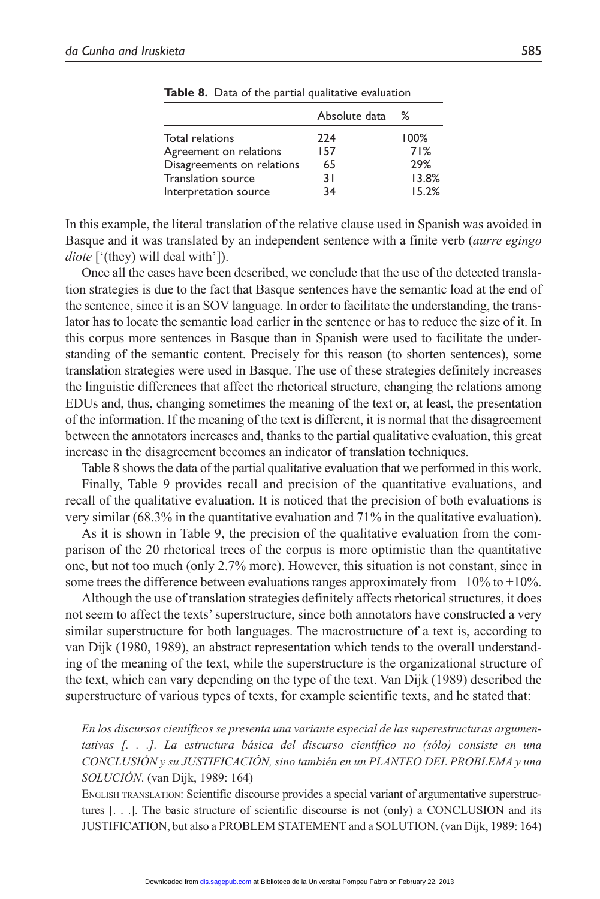|                            | Absolute data | ℅     |
|----------------------------|---------------|-------|
| Total relations            | 224           | 100%  |
| Agreement on relations     | 157           | 71%   |
| Disagreements on relations | 65            | 29%   |
| <b>Translation source</b>  | 31            | 13.8% |
| Interpretation source      | 34            | 15.2% |

**Table 8.** Data of the partial qualitative evaluation

In this example, the literal translation of the relative clause used in Spanish was avoided in Basque and it was translated by an independent sentence with a finite verb (*aurre egingo diote* ['(they) will deal with']).

Once all the cases have been described, we conclude that the use of the detected translation strategies is due to the fact that Basque sentences have the semantic load at the end of the sentence, since it is an SOV language. In order to facilitate the understanding, the translator has to locate the semantic load earlier in the sentence or has to reduce the size of it. In this corpus more sentences in Basque than in Spanish were used to facilitate the understanding of the semantic content. Precisely for this reason (to shorten sentences), some translation strategies were used in Basque. The use of these strategies definitely increases the linguistic differences that affect the rhetorical structure, changing the relations among EDUs and, thus, changing sometimes the meaning of the text or, at least, the presentation of the information. If the meaning of the text is different, it is normal that the disagreement between the annotators increases and, thanks to the partial qualitative evaluation, this great increase in the disagreement becomes an indicator of translation techniques.

Table 8 shows the data of the partial qualitative evaluation that we performed in this work.

Finally, Table 9 provides recall and precision of the quantitative evaluations, and recall of the qualitative evaluation. It is noticed that the precision of both evaluations is very similar (68.3% in the quantitative evaluation and 71% in the qualitative evaluation).

As it is shown in Table 9, the precision of the qualitative evaluation from the comparison of the 20 rhetorical trees of the corpus is more optimistic than the quantitative one, but not too much (only 2.7% more). However, this situation is not constant, since in some trees the difference between evaluations ranges approximately from  $-10\%$  to  $+10\%$ .

Although the use of translation strategies definitely affects rhetorical structures, it does not seem to affect the texts' superstructure, since both annotators have constructed a very similar superstructure for both languages. The macrostructure of a text is, according to van Dijk (1980, 1989), an abstract representation which tends to the overall understanding of the meaning of the text, while the superstructure is the organizational structure of the text, which can vary depending on the type of the text. Van Dijk (1989) described the superstructure of various types of texts, for example scientific texts, and he stated that:

*En los discursos científicos se presenta una variante especial de las superestructuras argumentativas [. . .]. La estructura básica del discurso científico no (sólo) consiste en una CONCLUSIÓN y su JUSTIFICACIÓN, sino también en un PLANTEO DEL PROBLEMA y una SOLUCIÓN*. (van Dijk, 1989: 164)

English translation: Scientific discourse provides a special variant of argumentative superstructures [. . .]. The basic structure of scientific discourse is not (only) a CONCLUSION and its JUSTIFICATION, but also a PROBLEM STATEMENT and a SOLUTION. (van Dijk, 1989: 164)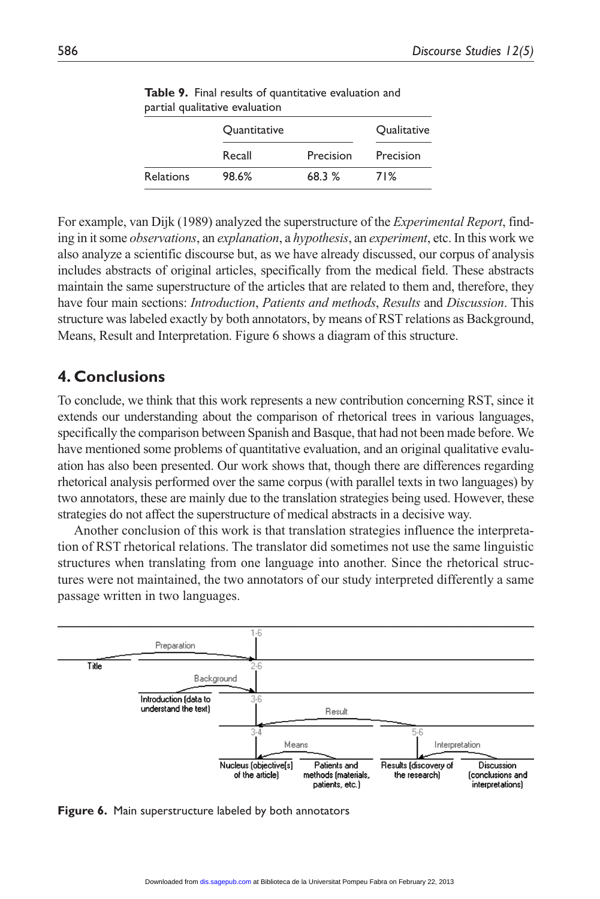|           | Quantitative |           | Qualitative |
|-----------|--------------|-----------|-------------|
|           | Recall       | Precision | Precision   |
| Relations | 98.6%        | 68.3 %    | 71%         |

**Table 9.** Final results of quantitative evaluation and partial qualitative evaluation

For example, van Dijk (1989) analyzed the superstructure of the *Experimental Report*, finding in it some *observations*, an *explanation*, a *hypothesis*, an *experiment*, etc. In this work we also analyze a scientific discourse but, as we have already discussed, our corpus of analysis includes abstracts of original articles, specifically from the medical field. These abstracts maintain the same superstructure of the articles that are related to them and, therefore, they have four main sections: *Introduction*, *Patients and methods*, *Results* and *Discussion*. This structure was labeled exactly by both annotators, by means of RST relations as Background, Means, Result and Interpretation. Figure 6 shows a diagram of this structure.

## **4. Conclusions**

To conclude, we think that this work represents a new contribution concerning RST, since it extends our understanding about the comparison of rhetorical trees in various languages, specifically the comparison between Spanish and Basque, that had not been made before. We have mentioned some problems of quantitative evaluation, and an original qualitative evaluation has also been presented. Our work shows that, though there are differences regarding rhetorical analysis performed over the same corpus (with parallel texts in two languages) by two annotators, these are mainly due to the translation strategies being used. However, these strategies do not affect the superstructure of medical abstracts in a decisive way.

Another conclusion of this work is that translation strategies influence the interpretation of RST rhetorical relations. The translator did sometimes not use the same linguistic structures when translating from one language into another. Since the rhetorical structures were not maintained, the two annotators of our study interpreted differently a same passage written in two languages.



**Figure 6.** Main superstructure labeled by both annotators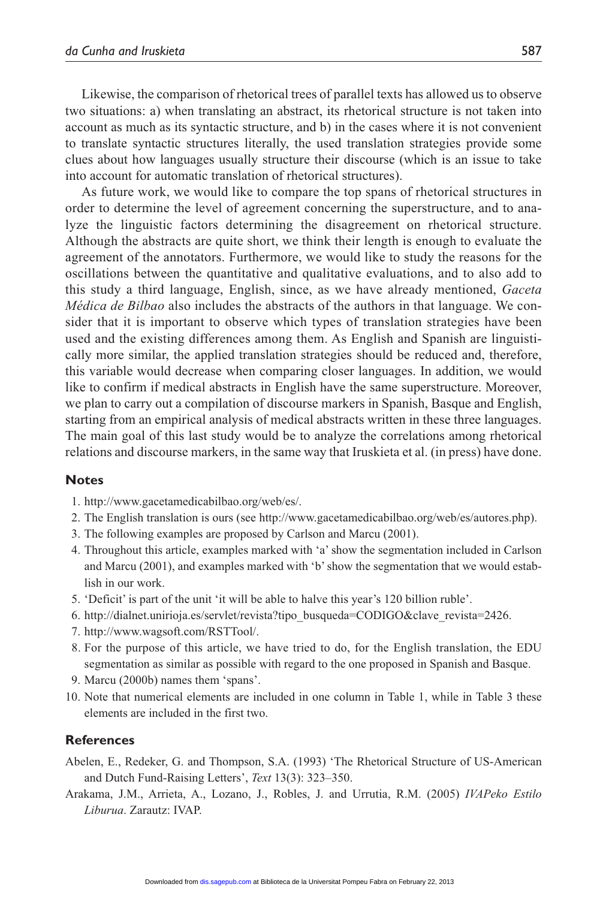Likewise, the comparison of rhetorical trees of parallel texts has allowed us to observe two situations: a) when translating an abstract, its rhetorical structure is not taken into account as much as its syntactic structure, and b) in the cases where it is not convenient to translate syntactic structures literally, the used translation strategies provide some clues about how languages usually structure their discourse (which is an issue to take into account for automatic translation of rhetorical structures).

As future work, we would like to compare the top spans of rhetorical structures in order to determine the level of agreement concerning the superstructure, and to analyze the linguistic factors determining the disagreement on rhetorical structure. Although the abstracts are quite short, we think their length is enough to evaluate the agreement of the annotators. Furthermore, we would like to study the reasons for the oscillations between the quantitative and qualitative evaluations, and to also add to this study a third language, English, since, as we have already mentioned, *Gaceta Médica de Bilbao* also includes the abstracts of the authors in that language. We consider that it is important to observe which types of translation strategies have been used and the existing differences among them. As English and Spanish are linguistically more similar, the applied translation strategies should be reduced and, therefore, this variable would decrease when comparing closer languages. In addition, we would like to confirm if medical abstracts in English have the same superstructure. Moreover, we plan to carry out a compilation of discourse markers in Spanish, Basque and English, starting from an empirical analysis of medical abstracts written in these three languages. The main goal of this last study would be to analyze the correlations among rhetorical relations and discourse markers, in the same way that Iruskieta et al. (in press) have done.

#### **Notes**

- 1. http://www.gacetamedicabilbao.org/web/es/.
- 2. The English translation is ours (see http://www.gacetamedicabilbao.org/web/es/autores.php).
- 3. The following examples are proposed by Carlson and Marcu (2001).
- 4. Throughout this article, examples marked with 'a' show the segmentation included in Carlson and Marcu (2001), and examples marked with 'b' show the segmentation that we would establish in our work.
- 5. 'Deficit' is part of the unit 'it will be able to halve this year's 120 billion ruble'.
- 6. http://dialnet.unirioja.es/servlet/revista?tipo\_busqueda=CODIGO&clave\_revista=2426.
- 7. http://www.wagsoft.com/RSTTool/.
- 8. For the purpose of this article, we have tried to do, for the English translation, the EDU segmentation as similar as possible with regard to the one proposed in Spanish and Basque.
- 9. Marcu (2000b) names them 'spans'.
- 10. Note that numerical elements are included in one column in Table 1, while in Table 3 these elements are included in the first two.

#### **References**

- Abelen, E., Redeker, G. and Thompson, S.A. (1993) 'The Rhetorical Structure of US-American and Dutch Fund-Raising Letters', *Text* 13(3): 323–350.
- Arakama, J.M., Arrieta, A., Lozano, J., Robles, J. and Urrutia, R.M. (2005) *IVAPeko Estilo Liburua*. Zarautz: IVAP.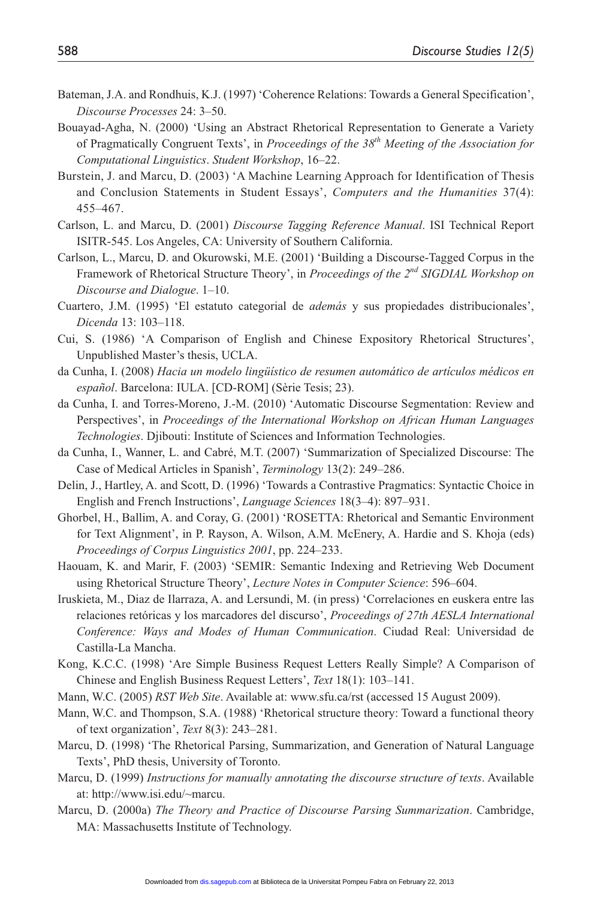- Bateman, J.A. and Rondhuis, K.J. (1997) 'Coherence Relations: Towards a General Specification', *Discourse Processes* 24: 3–50.
- Bouayad-Agha, N. (2000) 'Using an Abstract Rhetorical Representation to Generate a Variety of Pragmatically Congruent Texts', in *Proceedings of the 38th Meeting of the Association for Computational Linguistics*. *Student Workshop*, 16–22.
- Burstein, J. and Marcu, D. (2003) 'A Machine Learning Approach for Identification of Thesis and Conclusion Statements in Student Essays', *Computers and the Humanities* 37(4): 455–467.
- Carlson, L. and Marcu, D. (2001) *Discourse Tagging Reference Manual*. ISI Technical Report ISITR-545. Los Angeles, CA: University of Southern California.
- Carlson, L., Marcu, D. and Okurowski, M.E. (2001) 'Building a Discourse-Tagged Corpus in the Framework of Rhetorical Structure Theory', in *Proceedings of the 2nd SIGDIAL Workshop on Discourse and Dialogue*. 1–10.
- Cuartero, J.M. (1995) 'El estatuto categorial de *además* y sus propiedades distribucionales', *Dicenda* 13: 103–118.
- Cui, S. (1986) 'A Comparison of English and Chinese Expository Rhetorical Structures', Unpublished Master's thesis, UCLA.
- da Cunha, I. (2008) *Hacia un modelo lingüístico de resumen automático de artículos médicos en español*. Barcelona: IULA. [CD-ROM] (Sèrie Tesis; 23).
- da Cunha, I. and Torres-Moreno, J.-M. (2010) 'Automatic Discourse Segmentation: Review and Perspectives', in *Proceedings of the International Workshop on African Human Languages Technologies*. Djibouti: Institute of Sciences and Information Technologies.
- da Cunha, I., Wanner, L. and Cabré, M.T. (2007) 'Summarization of Specialized Discourse: The Case of Medical Articles in Spanish', *Terminology* 13(2): 249–286.
- Delin, J., Hartley, A. and Scott, D. (1996) 'Towards a Contrastive Pragmatics: Syntactic Choice in English and French Instructions', *Language Sciences* 18(3–4): 897–931.
- Ghorbel, H., Ballim, A. and Coray, G. (2001) 'ROSETTA: Rhetorical and Semantic Environment for Text Alignment', in P. Rayson, A. Wilson, A.M. McEnery, A. Hardie and S. Khoja (eds) *Proceedings of Corpus Linguistics 2001*, pp. 224–233.
- Haouam, K. and Marir, F. (2003) 'SEMIR: Semantic Indexing and Retrieving Web Document using Rhetorical Structure Theory', *Lecture Notes in Computer Science*: 596–604.
- Iruskieta, M., Diaz de Ilarraza, A. and Lersundi, M. (in press) 'Correlaciones en euskera entre las relaciones retóricas y los marcadores del discurso', *Proceedings of 27th AESLA International Conference: Ways and Modes of Human Communication*. Ciudad Real: Universidad de Castilla-La Mancha.
- Kong, K.C.C. (1998) 'Are Simple Business Request Letters Really Simple? A Comparison of Chinese and English Business Request Letters', *Text* 18(1): 103–141.
- Mann, W.C. (2005) *RST Web Site*. Available at: www.sfu.ca/rst (accessed 15 August 2009).
- Mann, W.C. and Thompson, S.A. (1988) 'Rhetorical structure theory: Toward a functional theory of text organization', *Text* 8(3): 243–281.
- Marcu, D. (1998) 'The Rhetorical Parsing, Summarization, and Generation of Natural Language Texts', PhD thesis, University of Toronto.
- Marcu, D. (1999) *Instructions for manually annotating the discourse structure of texts*. Available at: http://www.isi.edu/~marcu.
- Marcu, D. (2000a) *The Theory and Practice of Discourse Parsing Summarization*. Cambridge, MA: Massachusetts Institute of Technology.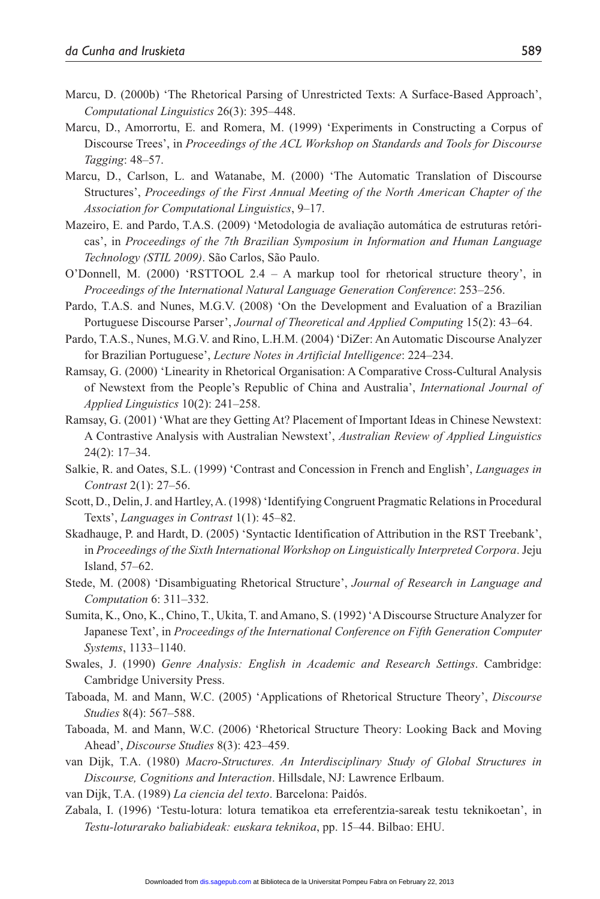- Marcu, D. (2000b) 'The Rhetorical Parsing of Unrestricted Texts: A Surface-Based Approach', *Computational Linguistics* 26(3): 395–448.
- Marcu, D., Amorrortu, E. and Romera, M. (1999) 'Experiments in Constructing a Corpus of Discourse Trees', in *Proceedings of the ACL Workshop on Standards and Tools for Discourse Tagging*: 48–57.
- Marcu, D., Carlson, L. and Watanabe, M. (2000) 'The Automatic Translation of Discourse Structures', *Proceedings of the First Annual Meeting of the North American Chapter of the Association for Computational Linguistics*, 9–17.
- Mazeiro, E. and Pardo, T.A.S. (2009) 'Metodologia de avaliação automática de estruturas retóricas', in *Proceedings of the 7th Brazilian Symposium in Information and Human Language Technology (STIL 2009)*. São Carlos, São Paulo.
- O'Donnell, M. (2000) 'RSTTOOL 2.4 A markup tool for rhetorical structure theory', in *Proceedings of the International Natural Language Generation Conference*: 253–256.
- Pardo, T.A.S. and Nunes, M.G.V. (2008) 'On the Development and Evaluation of a Brazilian Portuguese Discourse Parser', *Journal of Theoretical and Applied Computing* 15(2): 43–64.
- Pardo, T.A.S., Nunes, M.G.V. and Rino, L.H.M. (2004) 'DiZer: An Automatic Discourse Analyzer for Brazilian Portuguese', *Lecture Notes in Artificial Intelligence*: 224–234.
- Ramsay, G. (2000) 'Linearity in Rhetorical Organisation: A Comparative Cross-Cultural Analysis of Newstext from the People's Republic of China and Australia', *International Journal of Applied Linguistics* 10(2): 241–258.
- Ramsay, G. (2001) 'What are they Getting At? Placement of Important Ideas in Chinese Newstext: A Contrastive Analysis with Australian Newstext', *Australian Review of Applied Linguistics* 24(2): 17–34.
- Salkie, R. and Oates, S.L. (1999) 'Contrast and Concession in French and English', *Languages in Contrast* 2(1): 27–56.
- Scott, D., Delin, J. and Hartley, A. (1998) 'Identifying Congruent Pragmatic Relations in Procedural Texts', *Languages in Contrast* 1(1): 45–82.
- Skadhauge, P. and Hardt, D. (2005) 'Syntactic Identification of Attribution in the RST Treebank', in *Proceedings of the Sixth International Workshop on Linguistically Interpreted Corpora*. Jeju Island, 57–62.
- Stede, M. (2008) 'Disambiguating Rhetorical Structure', *Journal of Research in Language and Computation* 6: 311–332.
- Sumita, K., Ono, K., Chino, T., Ukita, T. and Amano, S. (1992) 'A Discourse Structure Analyzer for Japanese Text', in *Proceedings of the International Conference on Fifth Generation Computer Systems*, 1133–1140.
- Swales, J. (1990) *Genre Analysis: English in Academic and Research Settings*. Cambridge: Cambridge University Press.
- Taboada, M. and Mann, W.C. (2005) 'Applications of Rhetorical Structure Theory', *Discourse Studies* 8(4): 567–588.
- Taboada, M. and Mann, W.C. (2006) 'Rhetorical Structure Theory: Looking Back and Moving Ahead', *Discourse Studies* 8(3): 423–459.
- van Dijk, T.A. (1980) *Macro-Structures. An Interdisciplinary Study of Global Structures in Discourse, Cognitions and Interaction*. Hillsdale, NJ: Lawrence Erlbaum.
- van Dijk, T.A. (1989) *La ciencia del texto*. Barcelona: Paidós.
- Zabala, I. (1996) 'Testu-lotura: lotura tematikoa eta erreferentzia-sareak testu teknikoetan', in *Testu-loturarako baliabideak: euskara teknikoa*, pp. 15–44. Bilbao: EHU.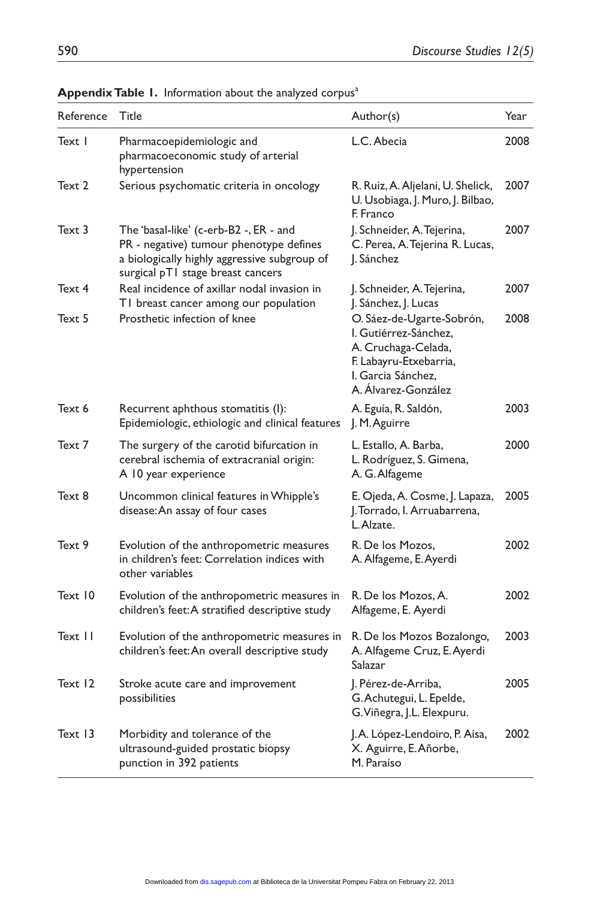| Reference | Title                                                                                                                                                                  | Author(s)                                                                                                                                        | Year |
|-----------|------------------------------------------------------------------------------------------------------------------------------------------------------------------------|--------------------------------------------------------------------------------------------------------------------------------------------------|------|
| Text I    | Pharmacoepidemiologic and<br>pharmacoeconomic study of arterial<br>hypertension                                                                                        | L.C. Abecia                                                                                                                                      | 2008 |
| Text 2    | Serious psychomatic criteria in oncology                                                                                                                               | R. Ruiz, A. Aljelani, U. Shelick,<br>U. Usobiaga, J. Muro, J. Bilbao,<br>F. Franco                                                               | 2007 |
| Text 3    | The 'basal-like' (c-erb-B2 -, ER - and<br>PR - negative) tumour phenotype defines<br>a biologically highly aggressive subgroup of<br>surgical pT1 stage breast cancers | J. Schneider, A. Tejerina,<br>C. Perea, A. Tejerina R. Lucas,<br>J. Sánchez                                                                      | 2007 |
| Text 4    | Real incidence of axillar nodal invasion in<br>TI breast cancer among our population                                                                                   | J. Schneider, A. Tejerina,<br>J. Sánchez, J. Lucas                                                                                               | 2007 |
| Text 5    | Prosthetic infection of knee                                                                                                                                           | O. Sáez-de-Ugarte-Sobrón,<br>I. Gutiérrez-Sánchez,<br>A. Cruchaga-Celada,<br>F. Labayru-Etxebarria,<br>I. Garcia Sánchez,<br>A. Álvarez-González | 2008 |
| Text 6    | Recurrent aphthous stomatitis (I):<br>Epidemiologic, ethiologic and clinical features                                                                                  | A. Eguía, R. Saldón,<br>J. M. Aguirre                                                                                                            | 2003 |
| Text 7    | The surgery of the carotid bifurcation in<br>cerebral ischemia of extracranial origin:<br>A 10 year experience                                                         | L. Estallo, A. Barba,<br>L. Rodríguez, S. Gimena,<br>A. G. Alfageme                                                                              | 2000 |
| Text 8    | Uncommon clinical features in Whipple's<br>disease: An assay of four cases                                                                                             | E. Ojeda, A. Cosme, J. Lapaza,<br>J. Torrado, I. Arruabarrena,<br>L. Alzate.                                                                     | 2005 |
| Text 9    | Evolution of the anthropometric measures<br>in children's feet: Correlation indices with<br>other variables                                                            | R. De los Mozos,<br>A. Alfageme, E. Ayerdi                                                                                                       | 2002 |
| Text 10   | Evolution of the anthropometric measures in<br>children's feet: A stratified descriptive study                                                                         | R. De los Mozos, A.<br>Alfageme, E. Ayerdi                                                                                                       | 2002 |
| Text II   | Evolution of the anthropometric measures in<br>children's feet: An overall descriptive study                                                                           | R. De los Mozos Bozalongo,<br>A. Alfageme Cruz, E. Ayerdi<br>Salazar                                                                             | 2003 |
| Text 12   | Stroke acute care and improvement<br>possibilities                                                                                                                     | J. Pérez-de-Arriba,<br>G. Achutegui, L. Epelde,<br>G. Viñegra, J. L. Elexpuru.                                                                   | 2005 |
| Text 13   | Morbidity and tolerance of the<br>ultrasound-guided prostatic biopsy<br>punction in 392 patients                                                                       | J.A. López-Lendoiro, P. Aísa,<br>X. Aguirre, E. Añorbe,<br>M. Paraíso                                                                            | 2002 |

### **Appendix Table 1.** Information about the analyzed corpus<sup>a</sup>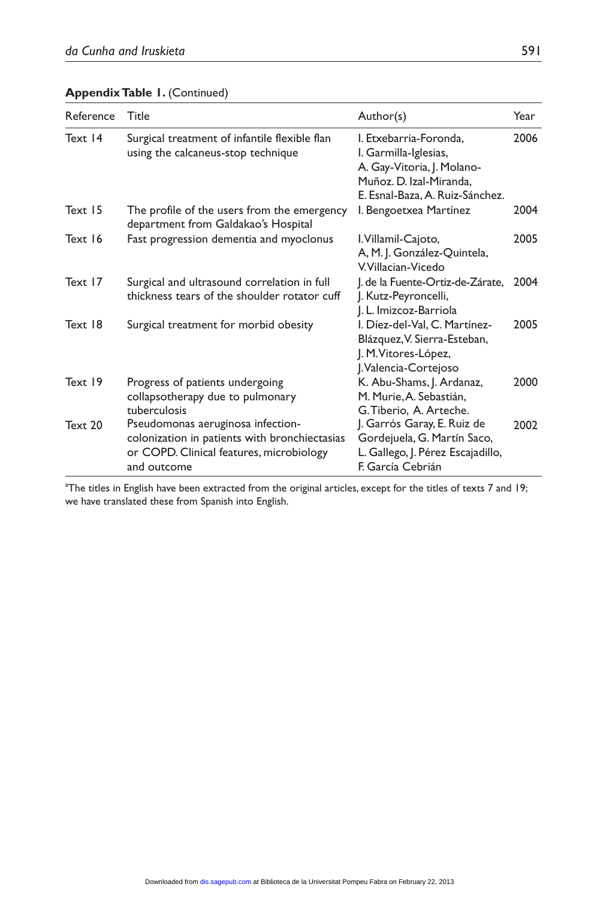| Reference | Title                                                                                                                                         | Author(s)                                                                                                                                   | Year |
|-----------|-----------------------------------------------------------------------------------------------------------------------------------------------|---------------------------------------------------------------------------------------------------------------------------------------------|------|
| Text 14   | Surgical treatment of infantile flexible flan<br>using the calcaneus-stop technique                                                           | I. Etxebarria-Foronda,<br>I. Garmilla-Iglesias,<br>A. Gay-Vitoria, J. Molano-<br>Muñoz. D. Izal-Miranda,<br>E. Esnal-Baza, A. Ruiz-Sánchez. | 2006 |
| Text 15   | The profile of the users from the emergency<br>department from Galdakao's Hospital                                                            | I. Bengoetxea Martínez                                                                                                                      | 2004 |
| Text 16   | Fast progression dementia and myoclonus                                                                                                       | I.Villamil-Cajoto,<br>A, M. J. González-Quintela,<br>V. Villacian-Vicedo                                                                    | 2005 |
| Text 17   | Surgical and ultrasound correlation in full<br>thickness tears of the shoulder rotator cuff                                                   | J. de la Fuente-Ortiz-de-Zárate,<br>J. Kutz-Peyroncelli,<br>J. L. Imizcoz-Barriola                                                          | 2004 |
| Text 18   | Surgical treatment for morbid obesity                                                                                                         | I. Díez-del-Val, C. Martínez-<br>Blázquez, V. Sierra-Esteban,<br>J. M. Vitores-López,<br>J. Valencia-Cortejoso                              | 2005 |
| Text 19   | Progress of patients undergoing<br>collapsotherapy due to pulmonary<br>tuberculosis                                                           | K. Abu-Shams, J. Ardanaz,<br>M. Murie, A. Sebastián,<br>G. Tiberio, A. Arteche.                                                             | 2000 |
| Text 20   | Pseudomonas aeruginosa infection-<br>colonization in patients with bronchiectasias<br>or COPD. Clinical features, microbiology<br>and outcome | J. Garrós Garay, E. Ruiz de<br>Gordejuela, G. Martín Saco,<br>L. Gallego, J. Pérez Escajadillo,<br>F. García Cebrián                        | 2002 |

<sup>a</sup>The titles in English have been extracted from the original articles, except for the titles of texts 7 and 19; we have translated these from Spanish into English.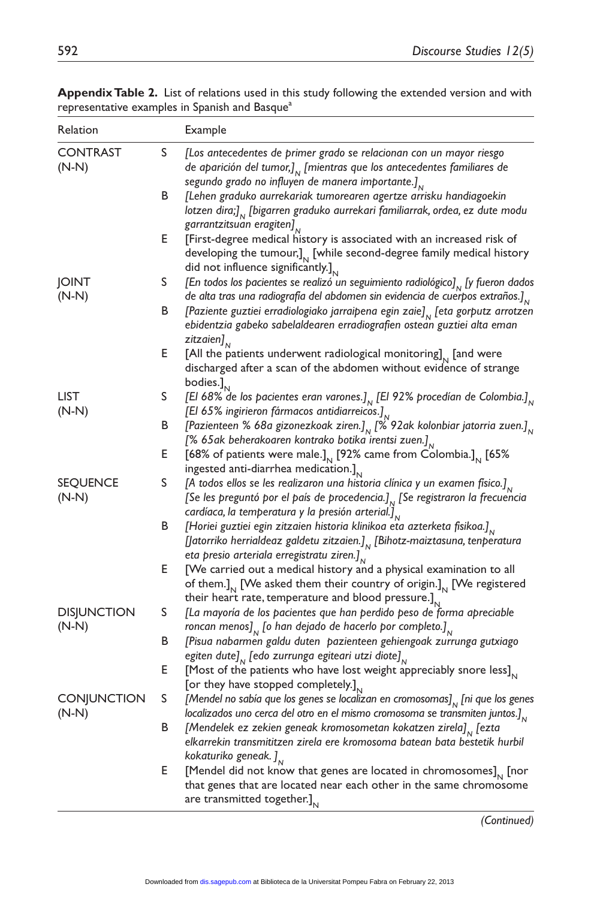| Relation                   |    | Example                                                                                                                                                                                                                                                                                                |
|----------------------------|----|--------------------------------------------------------------------------------------------------------------------------------------------------------------------------------------------------------------------------------------------------------------------------------------------------------|
| <b>CONTRAST</b><br>$(N-N)$ | S  | [Los antecedentes de primer grado se relacionan con un mayor riesgo<br>de aparición del tumor, $J_{\scriptscriptstyle N}$ [mientras que los antecedentes familiares de<br>segundo grado no influyen de manera importante.] $_{N}$                                                                      |
|                            | В  | [Lehen graduko aurrekariak tumorearen agertze arrisku handiagoekin<br>lotzen dira;] <sub>N</sub> [bigarren graduko aurrekari familiarrak, ordea, ez dute modu<br>garrantzitsuan eragiten] <sub>N</sub>                                                                                                 |
|                            | Ε  | [First-degree medical history is associated with an increased risk of<br>developing the tumour, $J_{\text{N}}$ [while second-degree family medical history<br>did not influence significantly.] $_{\textrm{N}}$                                                                                        |
| JOINT<br>(N-N)             | S  | [En todos los pacientes se realizó un seguimiento radiológico] <sub>N</sub> [y fueron dados                                                                                                                                                                                                            |
|                            | В  | de alta tras una radiografía del abdomen sin evidencia de cuerpos extraños.] $_{\textrm{\tiny{N}}}$<br>[Paziente guztiei erradiologiako jarraipena egin zaie] <sub>N</sub> [eta gorputz arrotzen<br>ebidentzia gabeko sabelaldearen erradiografien ostean guztiei alta eman<br>zitzaien] $\frac{1}{N}$ |
|                            | E, | [All the patients underwent radiological monitoring] $\alpha$ [and were<br>discharged after a scan of the abdomen without evidence of strange<br>bodies. $\int_{b}$                                                                                                                                    |
| LIST<br>(N-N)              | S  | [El 68% de los pacientes eran varones.] <sub>N</sub> [El 92% procedían de Colombia.] <sub>N</sub>                                                                                                                                                                                                      |
|                            | В  | [El 65% ingirieron fármacos antidiarreicos.]<br>[Pazienteen % 68a gizonezkoak ziren.] <sub>N</sub> [% 92ak kolonbiar jatorria zuen.] <sub>N</sub><br>[% 65ak beherakoaren kontrako botika irentsi zuen.] $_{N}$                                                                                        |
|                            | E  | [68% of patients were male.] <sub>N</sub> [92% came from Colombia.] <sub>N</sub> [65%<br>ingested anti-diarrhea medication.] <sub>N</sub>                                                                                                                                                              |
| SEQUENCE<br>(N-N)          | S  | [A todos ellos se les realizaron una historia clínica y un examen físico.] $_{\textrm{\tiny{N}}}$<br>[Se les preguntó por el país de procedencia.] <sub>N</sub> [Se registraron la frecuencia                                                                                                          |
|                            | В  | cardíaca, la temperatura y la presión arterial.] <sub>N</sub><br>[Horiei guztiei egin zitzaien historia klinikoa eta azterketa fisikoa.] $_{\textrm{\tiny{N}}}$<br>[Jatorriko herrialdeaz galdetu zitzaien.] <sub>N</sub> [Bihotz-maiztasuna, tenperatura                                              |
|                            | E  | eta presio arteriala erregistratu ziren.] $_{\textrm{\tiny{N}}}$<br>[We carried out a medical history and a physical examination to all<br>of them.] <sub>N</sub> [We asked them their country of origin.] <sub>N</sub> [We registered                                                                 |
| <b>DISJUNCTION</b>         | S  | their heart rate, temperature and blood pressure. $J_{N}$<br>[La mayoría de los pacientes que han perdido peso de forma apreciable                                                                                                                                                                     |
| (N-N)                      | В  | roncan menos] <sub>N</sub> [o han dejado de hacerlo por completo.] <sub>N</sub><br>[Pisua nabarmen galdu duten pazienteen gehiengoak zurrunga gutxiago                                                                                                                                                 |
|                            | Ε  | egiten dute] <sub>N</sub> [edo zurrunga egiteari utzi diote] <sub>N</sub><br>[Most of the patients who have lost weight appreciably snore less] $_{\!\scriptscriptstyle\rm M}$                                                                                                                         |
| CONJUNCTION                | S  | [or they have stopped completely.] $_{\textrm{N}}$<br>[Mendel no sabía que los genes se localizan en cromosomas] $_{\text{N}}$ [ni que los genes                                                                                                                                                       |
| $(N-N)$                    | В  | localizados uno cerca del otro en el mismo cromosoma se transmiten juntos.] $_{\textrm{\tiny{N}}}$<br>[Mendelek ez zekien geneak kromosometan kokatzen zirela] <sub>N</sub> [ezta<br>elkarrekin transmititzen zirela ere kromosoma batean bata bestetik hurbil                                         |
|                            | E  | kokaturiko geneak. J <sub>N</sub><br>[Mendel did not know that genes are located in chromosomes] <sub>N</sub> [nor<br>that genes that are located near each other in the same chromosome<br>are transmitted together.] $_{\textrm{N}}$                                                                 |

**Appendix Table 2.** List of relations used in this study following the extended version and with representative examples in Spanish and Basque<sup>a</sup>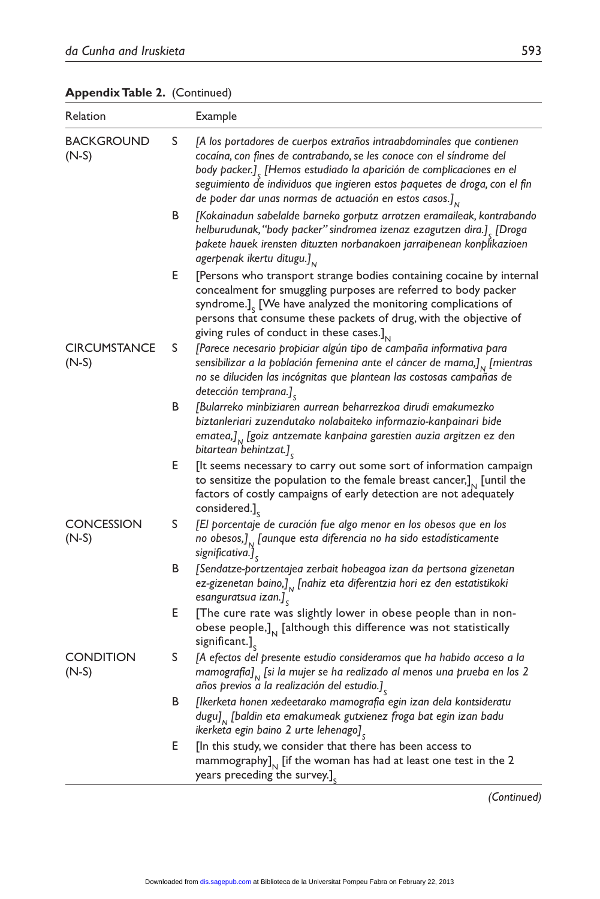| Relation                       |   | Example                                                                                                                                                                                                                                                                                                                                                                             |
|--------------------------------|---|-------------------------------------------------------------------------------------------------------------------------------------------------------------------------------------------------------------------------------------------------------------------------------------------------------------------------------------------------------------------------------------|
| <b>BACKGROUND</b><br>$(N-S)$   | S | [A los portadores de cuerpos extraños intraabdominales que contienen<br>cocaína, con fines de contrabando, se les conoce con el síndrome del<br>body packer.]. [Hemos estudiado la aparición de complicaciones en el<br>seguimiento de individuos que ingieren estos paquetes de droga, con el fin<br>de poder dar unas normas de actuación en estos casos.] $_{\textrm{\tiny{N}}}$ |
|                                | В | [Kokainadun sabelalde barneko gorputz arrotzen eramaileak, kontrabando<br>helburudunak, "body packer" sindromea izenaz ezagutzen dira.]. [Droga<br>pakete hauek irensten dituzten norbanakoen jarraipenean konplikazioen<br>agerpenak ikertu ditugu.]                                                                                                                               |
|                                | Е | [Persons who transport strange bodies containing cocaine by internal<br>concealment for smuggling purposes are referred to body packer<br>syndrome.] <sub>s</sub> [We have analyzed the monitoring complications of<br>persons that consume these packets of drug, with the objective of<br>giving rules of conduct in these cases.] $_{\sim}$                                      |
| <b>CIRCUMSTANCE</b><br>$(N-S)$ | S | [Parece necesario propiciar algún tipo de campaña informativa para<br>sensibilizar a la población femenina ante el cáncer de mama,] <sub>N</sub> [mientras<br>no se diluciden las incógnitas que plantean las costosas campañas de<br>detección temprana.] <sub>c</sub>                                                                                                             |
|                                | В | [Bularreko minbiziaren aurrean beharrezkoa dirudi emakumezko<br>biztanleriari zuzendutako nolabaiteko informazio-kanpainari bide<br>ematea,] <sub>N</sub> [goiz antzemate kanpaina garestien auzia argitzen ez den<br>bitartean behintzat.] <sub>s</sub>                                                                                                                            |
|                                | Е | [It seems necessary to carry out some sort of information campaign<br>to sensitize the population to the female breast cancer, $J_{N}$ [until the<br>factors of costly campaigns of early detection are not adequately<br>considered.] <sub>s</sub>                                                                                                                                 |
| <b>CONCESSION</b><br>$(N-S)$   | S | [El porcentaje de curación fue algo menor en los obesos que en los<br>no obesos, $J_{N}$ [aunque esta diferencia no ha sido estadísticamente<br>significativa.] <sub>c</sub>                                                                                                                                                                                                        |
|                                | В | [Sendatze-portzentajea zerbait hobeagoa izan da pertsona gizenetan<br>ez-gizenetan baino,] <sub>N</sub> [nahiz eta diferentzia hori ez den estatistikoki<br>esanguratsua izan.],                                                                                                                                                                                                    |
|                                | Е | [The cure rate was slightly lower in obese people than in non-<br>obese people, $\int_{N}$ [although this difference was not statistically<br>significant.] <sub>s</sub>                                                                                                                                                                                                            |
| <b>CONDITION</b><br>$(N-S)$    | S | [A efectos del presente estudio consideramos que ha habido acceso a la<br>mamografía] <sub>N</sub> [si la mujer se ha realizado al menos una prueba en los 2<br>años previos a la realización del estudio.] $_{\varsigma}$                                                                                                                                                          |
|                                | В | [Ikerketa honen xedeetarako mamografia egin izan dela kontsideratu<br>dugu] <sub>N</sub> [baldin eta emakumeak gutxienez froga bat egin izan badu<br>ikerketa egin baino 2 urte lehenago],                                                                                                                                                                                          |
|                                | Е | [In this study, we consider that there has been access to<br>mammography] $\left  \right\rangle_{\mathsf{N}}$ [if the woman has had at least one test in the 2<br>years preceding the survey.]                                                                                                                                                                                      |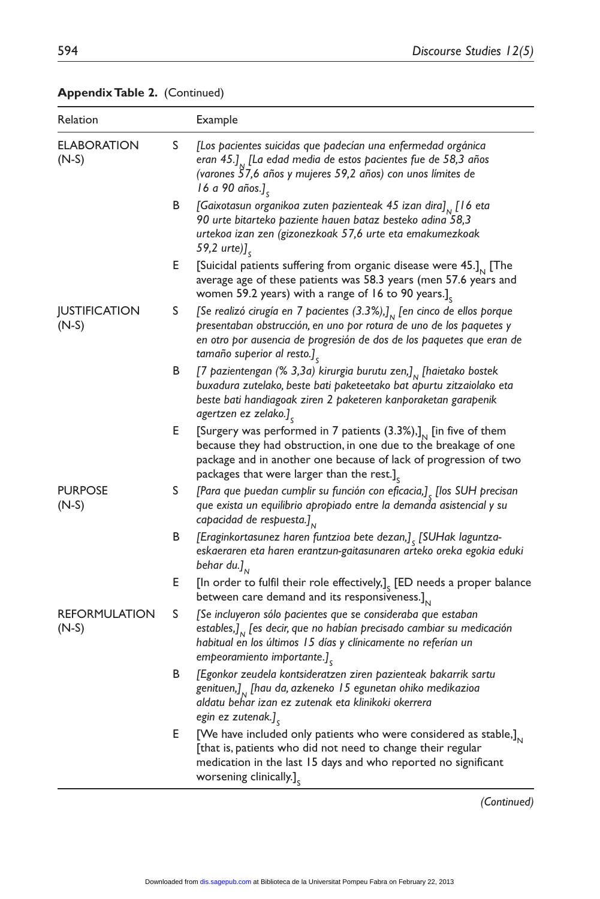| Relation                        |   | Example                                                                                                                                                                                                                                                                        |
|---------------------------------|---|--------------------------------------------------------------------------------------------------------------------------------------------------------------------------------------------------------------------------------------------------------------------------------|
| <b>ELABORATION</b><br>$(N-S)$   | S | [Los pacientes suicidas que padecían una enfermedad orgánica<br>eran 45.] <sub>N</sub> [La edad media de estos pacientes fue de 58,3 años<br>(varones 57,6 años y mujeres 59,2 años) con unos límites de<br>16 a 90 años.] $_{\rm c}$                                          |
|                                 | В | [Gaixotasun organikoa zuten pazienteak 45 izan dira] <sub>N</sub> [16 eta<br>90 urte bitarteko paziente hauen bataz besteko adina 58,3<br>urtekoa izan zen (gizonezkoak 57,6 urte eta emakumezkoak<br>59,2 $urte)$ ] <sub>s</sub>                                              |
|                                 | Е | [Suicidal patients suffering from organic disease were $45.$ ] <sub>N</sub> [The<br>average age of these patients was 58.3 years (men 57.6 years and<br>women 59.2 years) with a range of 16 to 90 years.] <sub>s</sub>                                                        |
| <b>JUSTIFICATION</b><br>$(N-S)$ | S | [Se realizó cirugía en 7 pacientes (3.3%),] <sub>N</sub> [en cinco de ellos porque<br>presentaban obstrucción, en uno por rotura de uno de los paquetes y<br>en otro por ausencia de progresión de dos de los paquetes que eran de<br>tamaño superior al resto.] $_{c}$        |
|                                 | В | [7 pazientengan (% 3,3a) kirurgia burutu zen,] <sub>N</sub> [haietako bostek<br>buxadura zutelako, beste bati paketeetako bat apurtu zitzaiolako eta<br>beste bati handiagoak ziren 2 paketeren kanporaketan garapenik<br>agertzen ez zelako.] <sub>&lt;</sub>                 |
|                                 | Е | [Surgery was performed in 7 patients $(3.3\%),$ ] <sub>N</sub> [in five of them<br>because they had obstruction, in one due to the breakage of one<br>package and in another one because of lack of progression of two<br>packages that were larger than the rest.] $_{\rm c}$ |
| <b>PURPOSE</b><br>$(N-S)$       | S | [Para que puedan cumplir su función con eficacia,] [los SUH precisan<br>que exista un equilibrio apropiado entre la demanda asistencial y su<br>capacidad de respuesta.] $_{\textrm{\tiny{N}}}$                                                                                |
|                                 | В | [Eraginkortasunez haren funtzioa bete dezan,] [SUHak laguntza-<br>eskaeraren eta haren erantzun-gaitasunaren arteko oreka egokia eduki<br>behar du.] $_{\scriptscriptstyle\rm N}$                                                                                              |
|                                 | Е | [In order to fulfil their role effectively,] <sub><math>_{\textrm{s}}</math></sub> [ED needs a proper balance<br>between care demand and its responsiveness. $J_{N}$                                                                                                           |
| <b>REFORMULATION</b><br>$(N-S)$ | S | [Se incluyeron sólo pacientes que se consideraba que estaban<br>estables,] <sub>N</sub> [es decir, que no habían precisado cambiar su medicación<br>habitual en los últimos 15 días y clínicamente no referían un<br>empeoramiento importante.] <sub>s</sub>                   |
|                                 | В | [Egonkor zeudela kontsideratzen ziren pazienteak bakarrik sartu<br>genituen,] <sub>N</sub> [hau da, azkeneko 15 egunetan ohiko medikazioa<br>aldatu behar izan ez zutenak eta klinikoki okerrera<br>egin ez zutenak.],                                                         |
|                                 | Е | [We have included only patients who were considered as stable,] $_{\textrm{N}}$<br>[that is, patients who did not need to change their regular<br>medication in the last 15 days and who reported no significant<br>worsening clinically.] <sub>s</sub>                        |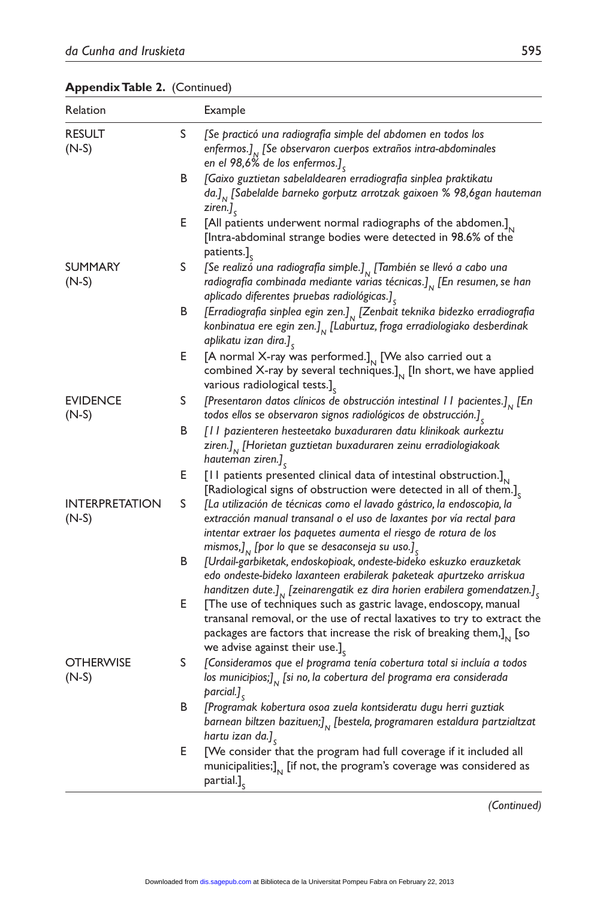| Relation                         |   | Example                                                                                                                                                                                                                                                                                                                                                                         |
|----------------------------------|---|---------------------------------------------------------------------------------------------------------------------------------------------------------------------------------------------------------------------------------------------------------------------------------------------------------------------------------------------------------------------------------|
| <b>RESULT</b><br>$(N-S)$         | S | [Se practicó una radiografía simple del abdomen en todos los<br>enfermos. $J_{N}$ [Se observaron cuerpos extraños intra-abdominales<br>en el 98,6% de los enfermos.] <sub>s</sub>                                                                                                                                                                                               |
|                                  | В | [Gaixo guztietan sabelaldearen erradiografia sinplea praktikatu<br>da.] <sub>N</sub> [Sabelalde barneko gorputz arrotzak gaixoen % 98,6gan hauteman<br>ziren.J $\zeta$                                                                                                                                                                                                          |
|                                  | E | [All patients underwent normal radiographs of the abdomen.] $_{\wedge}$<br>[Intra-abdominal strange bodies were detected in 98.6% of the<br>patients.] <sub>c</sub>                                                                                                                                                                                                             |
| <b>SUMMARY</b><br>$(N-S)$        | S | [Se realizó una radiografía simple.] <sub>N</sub> [También se llevó a cabo una<br>radiografía combinada mediante varias técnicas. $J_{\scriptscriptstyle N}$ [En resumen, se han<br>aplicado diferentes pruebas radiológicas.] <sub>s</sub>                                                                                                                                     |
|                                  | В | [Erradiografia sinplea egin zen.] <sub>N</sub> [Zenbait teknika bidezko erradiografia<br>konbinatua ere egin zen.] <sub>N</sub> [Laburtuz, froga erradiologiako desberdinak<br>aplikatu izan dira.] <sub>s</sub>                                                                                                                                                                |
|                                  | Ε | [A normal X-ray was performed.] $_{\mathsf{N}}$ [We also carried out a<br>combined X-ray by several techniques.] $_{\text{N}}$ [In short, we have applied<br>various radiological tests.] $_{\rm c}$                                                                                                                                                                            |
| <b>EVIDENCE</b><br>$(N-S)$       | S | [Presentaron datos clínicos de obstrucción intestinal $II$ pacientes.] <sub>N</sub> [En<br>todos ellos se observaron signos radiológicos de obstrucción.],                                                                                                                                                                                                                      |
|                                  | B | [11 pazienteren hesteetako buxaduraren datu klinikoak aurkeztu<br>ziren.] <sub>N</sub> [Horietan guztietan buxaduraren zeinu erradiologiakoak<br>hauteman ziren. $J_s$                                                                                                                                                                                                          |
|                                  | Ε | [11 patients presented clinical data of intestinal obstruction.] $_{\mathsf{N}}$<br>[Radiological signs of obstruction were detected in all of them.] <sub>s</sub>                                                                                                                                                                                                              |
| <b>INTERPRETATION</b><br>$(N-S)$ | S | [La utilización de técnicas como el lavado gástrico, la endoscopia, la<br>extracción manual transanal o el uso de laxantes por vía rectal para<br>intentar extraer los paquetes aumenta el riesgo de rotura de los<br>mismos, $J_{N}$ [por lo que se desaconseja su uso.],                                                                                                      |
|                                  | B | [Urdail-garbiketak, endoskopioak, ondeste-bideko eskuzko erauzketak<br>edo ondeste-bideko laxanteen erabilerak paketeak apurtzeko arriskua                                                                                                                                                                                                                                      |
|                                  | Е | handitzen dute.] <sub>N</sub> [zeinarengatik ez dira horien erabilera gomendatzen.] <sub>s</sub><br>[The use of techniques such as gastric lavage, endoscopy, manual<br>transanal removal, or the use of rectal laxatives to try to extract the<br>packages are factors that increase the risk of breaking them, $J_{\text{N}}$ [so<br>we advise against their use.] $_{\rm c}$ |
| <b>OTHERWISE</b><br>$(N-S)$      | S | [Consideramos que el programa tenía cobertura total si incluía a todos<br>los municipios;] <sub>N</sub> [si no, la cobertura del programa era considerada<br>parcial.] $\frac{1}{5}$                                                                                                                                                                                            |
|                                  | В | [Programak kobertura osoa zuela kontsideratu dugu herri guztiak<br>barnean biltzen bazituen;] <sub>N</sub> [bestela, programaren estaldura partzialtzat<br>hartu izan da.] $_{\varsigma}$                                                                                                                                                                                       |
|                                  | E | [We consider that the program had full coverage if it included all<br>municipalities; $J_{\scriptscriptstyle\rm N}$ [if not, the program's coverage was considered as<br>partial.]                                                                                                                                                                                              |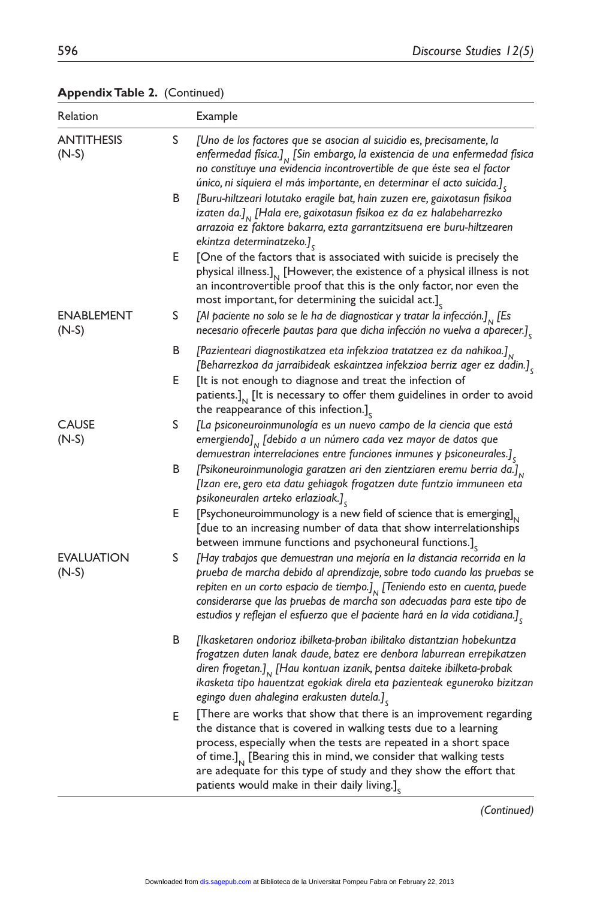| Relation                     |   | Example                                                                                                                                                                                                                                                                                                                                                                                                                   |
|------------------------------|---|---------------------------------------------------------------------------------------------------------------------------------------------------------------------------------------------------------------------------------------------------------------------------------------------------------------------------------------------------------------------------------------------------------------------------|
| <b>ANTITHESIS</b><br>$(N-S)$ | S | [Uno de los factores que se asocian al suicidio es, precisamente, la<br>enfermedad física.] <sub>N</sub> [Sin embargo, la existencia de una enfermedad física<br>no constituye una evidencia incontrovertible de que éste sea el factor<br>único, ni siquiera el más importante, en determinar el acto suicida.],                                                                                                         |
|                              | В | [Buru-hiltzeari lotutako eragile bat, hain zuzen ere, gaixotasun fisikoa<br>izaten da.] <sub>N</sub> [Hala ere, gaixotasun fisikoa ez da ez halabeharrezko<br>arrazoia ez faktore bakarra, ezta garrantzitsuena ere buru-hiltzearen<br>ekintza determinatzeko.] <sub>s</sub>                                                                                                                                              |
|                              | Е | [One of the factors that is associated with suicide is precisely the<br>physical illness. $J_{\scriptscriptstyle\rm NL}$ [However, the existence of a physical illness is not<br>an incontrovertible proof that this is the only factor, nor even the<br>most important, for determining the suicidal act.] <sub><math>S</math></sub>                                                                                     |
| ENABLEMENT<br>$(N-S)$        | S | [Al paciente no solo se le ha de diagnosticar y tratar la infección.] <sub>N</sub> [Es<br>necesario ofrecerle pautas para que dicha infección no vuelva a aparecer.]                                                                                                                                                                                                                                                      |
|                              | В | [Pazienteari diagnostikatzea eta infekzioa tratatzea ez da nahikoa.] $_{_{\rm N}}$<br>[Beharrezkoa da jarraibideak eskaintzea infekzioa berriz ager ez dadin.],                                                                                                                                                                                                                                                           |
|                              | Е | [It is not enough to diagnose and treat the infection of<br>patients.] $_{\text{N}}$ [It is necessary to offer them guidelines in order to avoid<br>the reappearance of this infection.] $_{\rm s}$                                                                                                                                                                                                                       |
| <b>CAUSE</b><br>$(N-S)$      | S | [La psiconeuroinmunología es un nuevo campo de la ciencia que está<br>emergiendo] <sub>N</sub> [debido a un número cada vez mayor de datos que<br>demuestran interrelaciones entre funciones inmunes y psiconeurales.] <sub>s</sub>                                                                                                                                                                                       |
|                              | в | [Psikoneuroinmunologia garatzen ari den zientziaren eremu berria da.] $_{\textrm{\tiny{N}}}$<br>[Izan ere, gero eta datu gehiagok frogatzen dute funtzio immuneen eta<br>psikoneuralen arteko erlazioak.] <sub>s</sub>                                                                                                                                                                                                    |
|                              | Е | [Psychoneuroimmunology is a new field of science that is emerging] $_{\text{N}}$<br>[due to an increasing number of data that show interrelationships<br>between immune functions and psychoneural functions.] $_{\rm s}$                                                                                                                                                                                                 |
| EVALUATION<br>$(N-S)$        | S | [Hay trabajos que demuestran una mejoría en la distancia recorrida en la<br>prueba de marcha debido al aprendizaje, sobre todo cuando las pruebas se<br>repiten en un corto espacio de tiempo.] <sub>N</sub> [Teniendo esto en cuenta, puede<br>considerarse que las pruebas de marcha son adecuadas para este tipo de<br>estudios y reflejan el esfuerzo que el paciente hará en la vida cotidiana.]                     |
|                              | В | [Ikasketaren ondorioz ibilketa-proban ibilitako distantzian hobekuntza<br>frogatzen duten lanak daude, batez ere denbora laburrean errepikatzen<br>diren frogetan.] <sub>N</sub> [Hau kontuan izanik, pentsa daiteke ibilketa-probak<br>ikasketa tipo hauentzat egokiak direla eta pazienteak eguneroko bizitzan<br>egingo duen ahalegina erakusten dutela.] <sub>s</sub>                                                 |
|                              | E | [There are works that show that there is an improvement regarding<br>the distance that is covered in walking tests due to a learning<br>process, especially when the tests are repeated in a short space<br>of time.] <sub>N</sub> [Bearing this in mind, we consider that walking tests<br>are adequate for this type of study and they show the effort that<br>patients would make in their daily living.] <sub>s</sub> |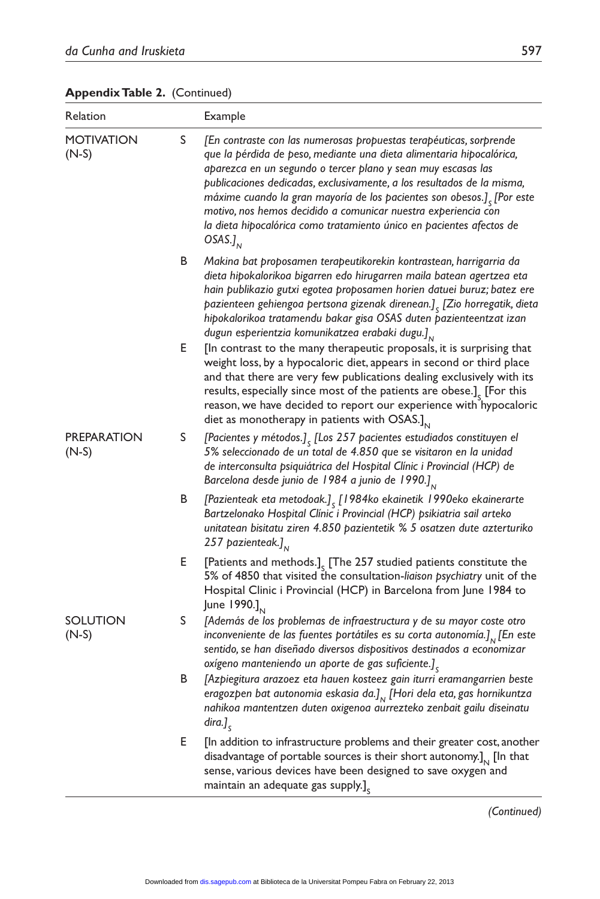|  |  | Appendix Table 2. (Continued) |
|--|--|-------------------------------|
|--|--|-------------------------------|

| Relation                      |   | Example                                                                                                                                                                                                                                                                                                                                                                                                                                                                                                                                                 |
|-------------------------------|---|---------------------------------------------------------------------------------------------------------------------------------------------------------------------------------------------------------------------------------------------------------------------------------------------------------------------------------------------------------------------------------------------------------------------------------------------------------------------------------------------------------------------------------------------------------|
| <b>MOTIVATION</b><br>$(N-S)$  | S | [En contraste con las numerosas propuestas terapéuticas, sorprende<br>que la pérdida de peso, mediante una dieta alimentaria hipocalórica,<br>aparezca en un segundo o tercer plano y sean muy escasas las<br>publicaciones dedicadas, exclusivamente, a los resultados de la misma,<br>máxime cuando la gran mayoría de los pacientes son obesos.] <sub>s</sub> [Por este<br>motivo, nos hemos decidido a comunicar nuestra experiencia con<br>la dieta hipocalórica como tratamiento único en pacientes afectos de<br>$OSASJ_{\scriptscriptstyle{M}}$ |
|                               | B | Makina bat proposamen terapeutikorekin kontrastean, harrigarria da<br>dieta hipokalorikoa bigarren edo hirugarren maila batean agertzea eta<br>hain publikazio gutxi egotea proposamen horien datuei buruz; batez ere<br>pazienteen gehiengoa pertsona gizenak direnean.] [Zio horregatik, dieta<br>hipokalorikoa tratamendu bakar gisa OSAS duten pazienteentzat izan<br>dugun esperientzia komunikatzea erabaki dugu.] <sub>N</sub>                                                                                                                   |
|                               | E | [In contrast to the many therapeutic proposals, it is surprising that<br>weight loss, by a hypocaloric diet, appears in second or third place<br>and that there are very few publications dealing exclusively with its<br>results, especially since most of the patients are obese.] <sub>c</sub> [For this<br>reason, we have decided to report our experience with hypocaloric<br>diet as monotherapy in patients with $OSASJ_{N}$                                                                                                                    |
| <b>PREPARATION</b><br>$(N-S)$ | S | [Pacientes y métodos.] <sub>s</sub> [Los 257 pacientes estudiados constituyen el<br>5% seleccionado de un total de 4.850 que se visitaron en la unidad<br>de interconsulta psiquiátrica del Hospital Clínic i Provincial (HCP) de<br>Barcelona desde junio de 1984 a junio de 1990.]                                                                                                                                                                                                                                                                    |
|                               | В | [Pazienteak eta metodoak.] [1984ko ekainetik 1990eko ekainerarte<br>Bartzelonako Hospital Clínic i Provincial (HCP) psikiatria sail arteko<br>unitatean bisitatu ziren 4.850 pazientetik % 5 osatzen dute azterturiko<br>257 pazienteak.] <sub>N</sub>                                                                                                                                                                                                                                                                                                  |
|                               | Ε | [Patients and methods.] <sub>s</sub> [The 257 studied patients constitute the<br>5% of 4850 that visited the consultation-liaison psychiatry unit of the<br>Hospital Clinic i Provincial (HCP) in Barcelona from June 1984 to<br>June 1990.] $_{\textrm{\tiny{N}}}$                                                                                                                                                                                                                                                                                     |
| SOLUTION<br>$(N-S)$           | S | [Además de los problemas de infraestructura y de su mayor coste otro<br>inconveniente de las fuentes portátiles es su corta autonomía. $J_{\scriptscriptstyle M}$ [En este<br>sentido, se han diseñado diversos dispositivos destinados a economizar<br>oxígeno manteniendo un aporte de gas suficiente.] <sub>s</sub>                                                                                                                                                                                                                                  |
|                               | В | [Azpiegitura arazoez eta hauen kosteez gain iturri eramangarrien beste<br>eragozpen bat autonomia eskasia da.] <sub>N</sub> [Hori dela eta, gas hornikuntza<br>nahikoa mantentzen duten oxigenoa aurrezteko zenbait gailu diseinatu<br>dira.] $\frac{1}{5}$                                                                                                                                                                                                                                                                                             |
|                               | E | [In addition to infrastructure problems and their greater cost, another<br>disadvantage of portable sources is their short autonomy. $J_{\text{N}}$ [In that<br>sense, various devices have been designed to save oxygen and<br>maintain an adequate gas supply.] $_{\rm s}$                                                                                                                                                                                                                                                                            |

*(Continued)*